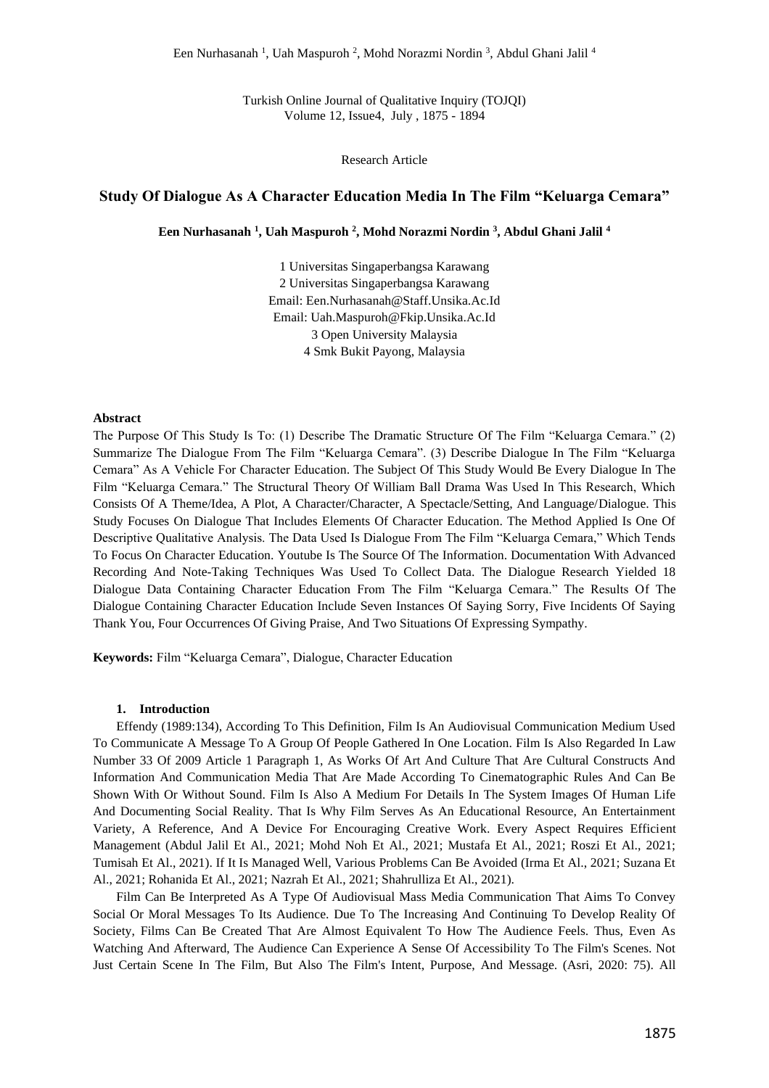Turkish Online Journal of Qualitative Inquiry (TOJQI) Volume 12, Issue4, July , 1875 - 1894

Research Article

# **Study Of Dialogue As A Character Education Media In The Film "Keluarga Cemara"**

**Een Nurhasanah <sup>1</sup> , Uah Maspuroh <sup>2</sup> , Mohd Norazmi Nordin <sup>3</sup> , Abdul Ghani Jalil <sup>4</sup>**

1 Universitas Singaperbangsa Karawang 2 Universitas Singaperbangsa Karawang Email: Een.Nurhasanah@Staff.Unsika.Ac.Id Email: Uah.Maspuroh@Fkip.Unsika.Ac.Id 3 Open University Malaysia 4 Smk Bukit Payong, Malaysia

## **Abstract**

The Purpose Of This Study Is To: (1) Describe The Dramatic Structure Of The Film "Keluarga Cemara." (2) Summarize The Dialogue From The Film "Keluarga Cemara". (3) Describe Dialogue In The Film "Keluarga Cemara" As A Vehicle For Character Education. The Subject Of This Study Would Be Every Dialogue In The Film "Keluarga Cemara." The Structural Theory Of William Ball Drama Was Used In This Research, Which Consists Of A Theme/Idea, A Plot, A Character/Character, A Spectacle/Setting, And Language/Dialogue. This Study Focuses On Dialogue That Includes Elements Of Character Education. The Method Applied Is One Of Descriptive Qualitative Analysis. The Data Used Is Dialogue From The Film "Keluarga Cemara," Which Tends To Focus On Character Education. Youtube Is The Source Of The Information. Documentation With Advanced Recording And Note-Taking Techniques Was Used To Collect Data. The Dialogue Research Yielded 18 Dialogue Data Containing Character Education From The Film "Keluarga Cemara." The Results Of The Dialogue Containing Character Education Include Seven Instances Of Saying Sorry, Five Incidents Of Saying Thank You, Four Occurrences Of Giving Praise, And Two Situations Of Expressing Sympathy.

**Keywords:** Film "Keluarga Cemara", Dialogue, Character Education

### **1. Introduction**

Effendy (1989:134), According To This Definition, Film Is An Audiovisual Communication Medium Used To Communicate A Message To A Group Of People Gathered In One Location. Film Is Also Regarded In Law Number 33 Of 2009 Article 1 Paragraph 1, As Works Of Art And Culture That Are Cultural Constructs And Information And Communication Media That Are Made According To Cinematographic Rules And Can Be Shown With Or Without Sound. Film Is Also A Medium For Details In The System Images Of Human Life And Documenting Social Reality. That Is Why Film Serves As An Educational Resource, An Entertainment Variety, A Reference, And A Device For Encouraging Creative Work. Every Aspect Requires Efficient Management (Abdul Jalil Et Al., 2021; Mohd Noh Et Al., 2021; Mustafa Et Al., 2021; Roszi Et Al., 2021; Tumisah Et Al., 2021). If It Is Managed Well, Various Problems Can Be Avoided (Irma Et Al., 2021; Suzana Et Al., 2021; Rohanida Et Al., 2021; Nazrah Et Al., 2021; Shahrulliza Et Al., 2021).

Film Can Be Interpreted As A Type Of Audiovisual Mass Media Communication That Aims To Convey Social Or Moral Messages To Its Audience. Due To The Increasing And Continuing To Develop Reality Of Society, Films Can Be Created That Are Almost Equivalent To How The Audience Feels. Thus, Even As Watching And Afterward, The Audience Can Experience A Sense Of Accessibility To The Film's Scenes. Not Just Certain Scene In The Film, But Also The Film's Intent, Purpose, And Message. (Asri, 2020: 75). All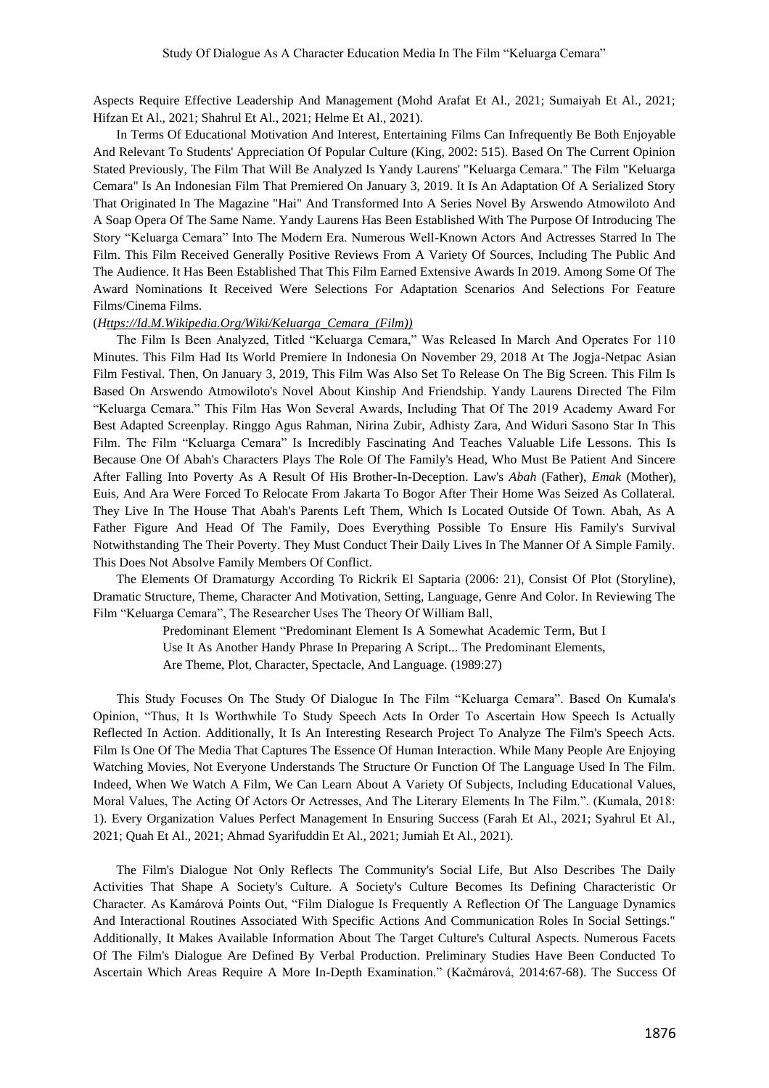Aspects Require Effective Leadership And Management (Mohd Arafat Et Al., 2021; Sumaiyah Et Al., 2021; Hifzan Et Al., 2021; Shahrul Et Al., 2021; Helme Et Al., 2021).

In Terms Of Educational Motivation And Interest, Entertaining Films Can Infrequently Be Both Enjoyable And Relevant To Students' Appreciation Of Popular Culture (King, 2002: 515). Based On The Current Opinion Stated Previously, The Film That Will Be Analyzed Is Yandy Laurens' "Keluarga Cemara." The Film "Keluarga Cemara" Is An Indonesian Film That Premiered On January 3, 2019. It Is An Adaptation Of A Serialized Story That Originated In The Magazine "Hai" And Transformed Into A Series Novel By Arswendo Atmowiloto And A Soap Opera Of The Same Name. Yandy Laurens Has Been Established With The Purpose Of Introducing The Story "Keluarga Cemara" Into The Modern Era. Numerous Well-Known Actors And Actresses Starred In The Film. This Film Received Generally Positive Reviews From A Variety Of Sources, Including The Public And The Audience. It Has Been Established That This Film Earned Extensive Awards In 2019. Among Some Of The Award Nominations It Received Were Selections For Adaptation Scenarios And Selections For Feature Films/Cinema Films.

### (*[Https://Id.M.Wikipedia.Org/Wiki/Keluarga\\_Cemara\\_\(Film\)\)](https://id.m.wikipedia.org/wiki/Keluarga_Cemara_(film))*

The Film Is Been Analyzed, Titled "Keluarga Cemara," Was Released In March And Operates For 110 Minutes. This Film Had Its World Premiere In Indonesia On November 29, 2018 At The Jogja-Netpac Asian Film Festival. Then, On January 3, 2019, This Film Was Also Set To Release On The Big Screen. This Film Is Based On Arswendo Atmowiloto's Novel About Kinship And Friendship. Yandy Laurens Directed The Film "Keluarga Cemara." This Film Has Won Several Awards, Including That Of The 2019 Academy Award For Best Adapted Screenplay. Ringgo Agus Rahman, Nirina Zubir, Adhisty Zara, And Widuri Sasono Star In This Film. The Film "Keluarga Cemara" Is Incredibly Fascinating And Teaches Valuable Life Lessons. This Is Because One Of Abah's Characters Plays The Role Of The Family's Head, Who Must Be Patient And Sincere After Falling Into Poverty As A Result Of His Brother-In-Deception. Law's *Abah* (Father), *Emak* (Mother), Euis, And Ara Were Forced To Relocate From Jakarta To Bogor After Their Home Was Seized As Collateral. They Live In The House That Abah's Parents Left Them, Which Is Located Outside Of Town. Abah, As A Father Figure And Head Of The Family, Does Everything Possible To Ensure His Family's Survival Notwithstanding The Their Poverty. They Must Conduct Their Daily Lives In The Manner Of A Simple Family. This Does Not Absolve Family Members Of Conflict.

The Elements Of Dramaturgy According To Rickrik El Saptaria (2006: 21), Consist Of Plot (Storyline), Dramatic Structure, Theme, Character And Motivation, Setting, Language, Genre And Color. In Reviewing The Film "Keluarga Cemara", The Researcher Uses The Theory Of William Ball,

> Predominant Element "Predominant Element Is A Somewhat Academic Term, But I Use It As Another Handy Phrase In Preparing A Script... The Predominant Elements, Are Theme, Plot, Character, Spectacle, And Language*.* (1989:27)

This Study Focuses On The Study Of Dialogue In The Film "Keluarga Cemara". Based On Kumala's Opinion, "Thus, It Is Worthwhile To Study Speech Acts In Order To Ascertain How Speech Is Actually Reflected In Action. Additionally, It Is An Interesting Research Project To Analyze The Film's Speech Acts. Film Is One Of The Media That Captures The Essence Of Human Interaction. While Many People Are Enjoying Watching Movies, Not Everyone Understands The Structure Or Function Of The Language Used In The Film. Indeed, When We Watch A Film, We Can Learn About A Variety Of Subjects, Including Educational Values, Moral Values, The Acting Of Actors Or Actresses, And The Literary Elements In The Film.". (Kumala, 2018: 1). Every Organization Values Perfect Management In Ensuring Success (Farah Et Al., 2021; Syahrul Et Al., 2021; Quah Et Al., 2021; Ahmad Syarifuddin Et Al., 2021; Jumiah Et Al., 2021).

The Film's Dialogue Not Only Reflects The Community's Social Life, But Also Describes The Daily Activities That Shape A Society's Culture. A Society's Culture Becomes Its Defining Characteristic Or Character. As Kamárová Points Out, "Film Dialogue Is Frequently A Reflection Of The Language Dynamics And Interactional Routines Associated With Specific Actions And Communication Roles In Social Settings." Additionally, It Makes Available Information About The Target Culture's Cultural Aspects. Numerous Facets Of The Film's Dialogue Are Defined By Verbal Production. Preliminary Studies Have Been Conducted To Ascertain Which Areas Require A More In-Depth Examination." (Kačmárová, 2014:67-68). The Success Of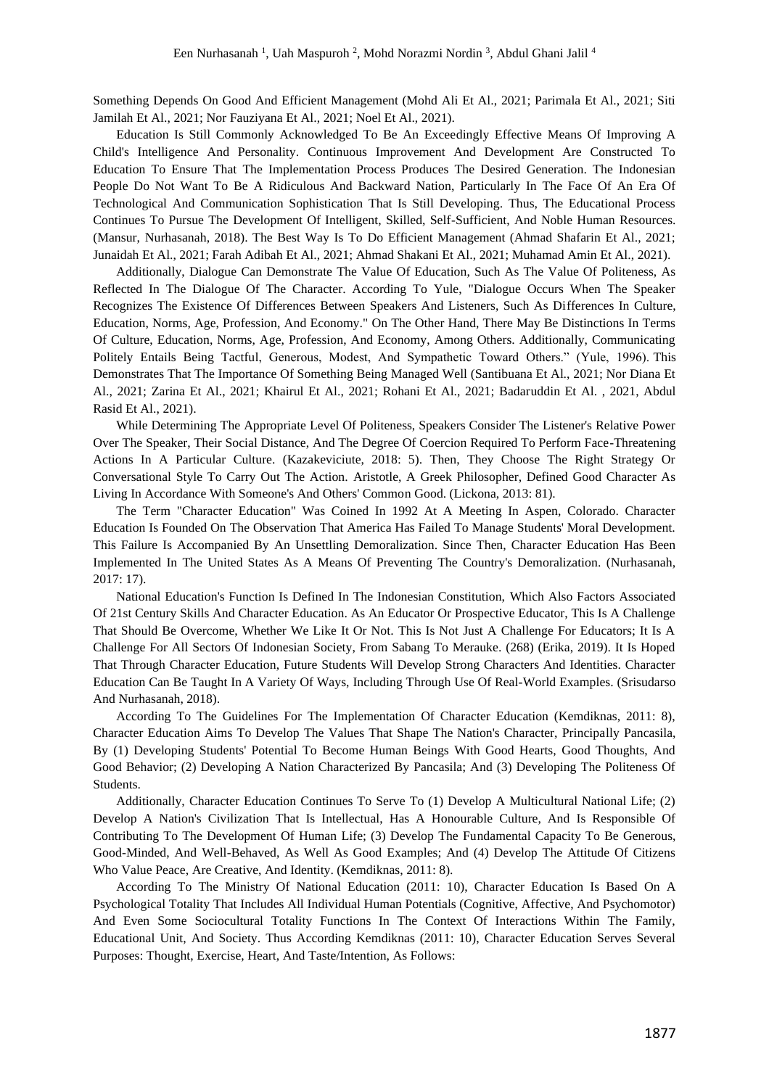Something Depends On Good And Efficient Management (Mohd Ali Et Al., 2021; Parimala Et Al., 2021; Siti Jamilah Et Al., 2021; Nor Fauziyana Et Al., 2021; Noel Et Al., 2021).

Education Is Still Commonly Acknowledged To Be An Exceedingly Effective Means Of Improving A Child's Intelligence And Personality. Continuous Improvement And Development Are Constructed To Education To Ensure That The Implementation Process Produces The Desired Generation. The Indonesian People Do Not Want To Be A Ridiculous And Backward Nation, Particularly In The Face Of An Era Of Technological And Communication Sophistication That Is Still Developing. Thus, The Educational Process Continues To Pursue The Development Of Intelligent, Skilled, Self-Sufficient, And Noble Human Resources. (Mansur, Nurhasanah, 2018). The Best Way Is To Do Efficient Management (Ahmad Shafarin Et Al., 2021; Junaidah Et Al., 2021; Farah Adibah Et Al., 2021; Ahmad Shakani Et Al., 2021; Muhamad Amin Et Al., 2021).

Additionally, Dialogue Can Demonstrate The Value Of Education, Such As The Value Of Politeness, As Reflected In The Dialogue Of The Character. According To Yule, "Dialogue Occurs When The Speaker Recognizes The Existence Of Differences Between Speakers And Listeners, Such As Differences In Culture, Education, Norms, Age, Profession, And Economy." On The Other Hand, There May Be Distinctions In Terms Of Culture, Education, Norms, Age, Profession, And Economy, Among Others. Additionally, Communicating Politely Entails Being Tactful, Generous, Modest, And Sympathetic Toward Others." (Yule, 1996). This Demonstrates That The Importance Of Something Being Managed Well (Santibuana Et Al., 2021; Nor Diana Et Al., 2021; Zarina Et Al., 2021; Khairul Et Al., 2021; Rohani Et Al., 2021; Badaruddin Et Al. , 2021, Abdul Rasid Et Al., 2021).

While Determining The Appropriate Level Of Politeness, Speakers Consider The Listener's Relative Power Over The Speaker, Their Social Distance, And The Degree Of Coercion Required To Perform Face-Threatening Actions In A Particular Culture. (Kazakeviciute, 2018: 5). Then, They Choose The Right Strategy Or Conversational Style To Carry Out The Action. Aristotle, A Greek Philosopher, Defined Good Character As Living In Accordance With Someone's And Others' Common Good. (Lickona, 2013: 81).

The Term "Character Education" Was Coined In 1992 At A Meeting In Aspen, Colorado. Character Education Is Founded On The Observation That America Has Failed To Manage Students' Moral Development. This Failure Is Accompanied By An Unsettling Demoralization. Since Then, Character Education Has Been Implemented In The United States As A Means Of Preventing The Country's Demoralization. (Nurhasanah, 2017: 17).

National Education's Function Is Defined In The Indonesian Constitution, Which Also Factors Associated Of 21st Century Skills And Character Education. As An Educator Or Prospective Educator, This Is A Challenge That Should Be Overcome, Whether We Like It Or Not. This Is Not Just A Challenge For Educators; It Is A Challenge For All Sectors Of Indonesian Society, From Sabang To Merauke. (268) (Erika, 2019). It Is Hoped That Through Character Education, Future Students Will Develop Strong Characters And Identities. Character Education Can Be Taught In A Variety Of Ways, Including Through Use Of Real-World Examples. (Srisudarso And Nurhasanah, 2018).

According To The Guidelines For The Implementation Of Character Education (Kemdiknas, 2011: 8), Character Education Aims To Develop The Values That Shape The Nation's Character, Principally Pancasila, By (1) Developing Students' Potential To Become Human Beings With Good Hearts, Good Thoughts, And Good Behavior; (2) Developing A Nation Characterized By Pancasila; And (3) Developing The Politeness Of Students.

Additionally, Character Education Continues To Serve To (1) Develop A Multicultural National Life; (2) Develop A Nation's Civilization That Is Intellectual, Has A Honourable Culture, And Is Responsible Of Contributing To The Development Of Human Life; (3) Develop The Fundamental Capacity To Be Generous, Good-Minded, And Well-Behaved, As Well As Good Examples; And (4) Develop The Attitude Of Citizens Who Value Peace, Are Creative, And Identity. (Kemdiknas, 2011: 8).

According To The Ministry Of National Education (2011: 10), Character Education Is Based On A Psychological Totality That Includes All Individual Human Potentials (Cognitive, Affective, And Psychomotor) And Even Some Sociocultural Totality Functions In The Context Of Interactions Within The Family, Educational Unit, And Society. Thus According Kemdiknas (2011: 10), Character Education Serves Several Purposes: Thought, Exercise, Heart, And Taste/Intention, As Follows: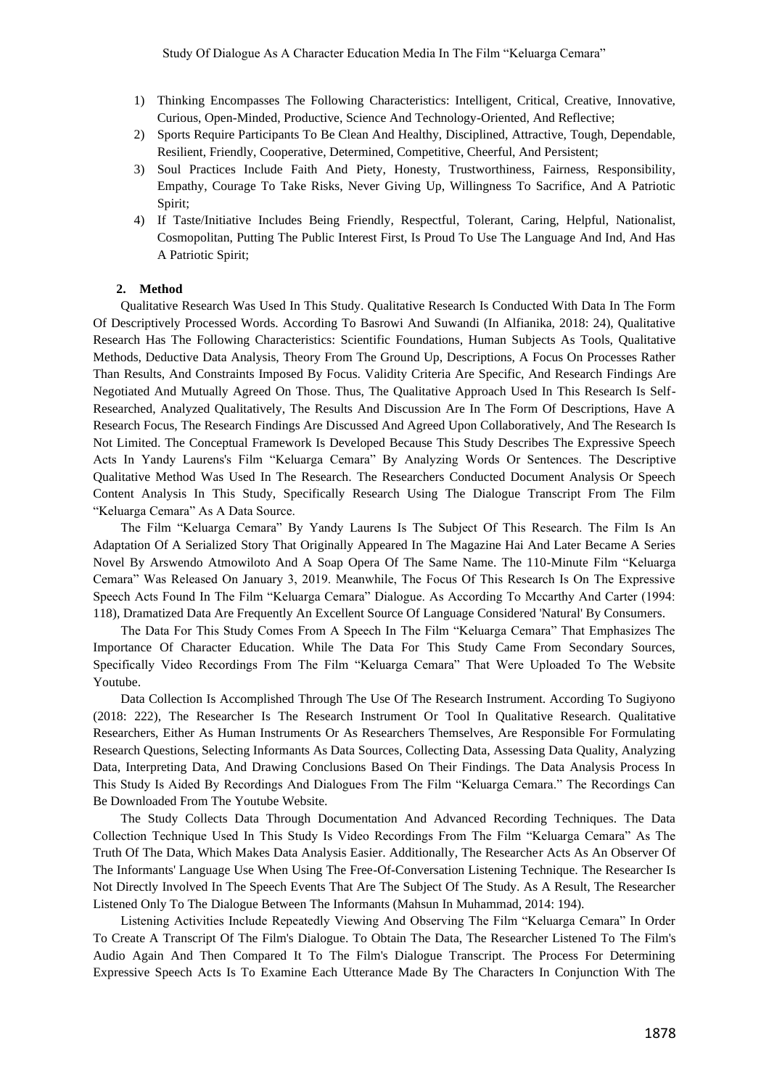- 1) Thinking Encompasses The Following Characteristics: Intelligent, Critical, Creative, Innovative, Curious, Open-Minded, Productive, Science And Technology-Oriented, And Reflective;
- 2) Sports Require Participants To Be Clean And Healthy, Disciplined, Attractive, Tough, Dependable, Resilient, Friendly, Cooperative, Determined, Competitive, Cheerful, And Persistent;
- 3) Soul Practices Include Faith And Piety, Honesty, Trustworthiness, Fairness, Responsibility, Empathy, Courage To Take Risks, Never Giving Up, Willingness To Sacrifice, And A Patriotic Spirit;
- 4) If Taste/Initiative Includes Being Friendly, Respectful, Tolerant, Caring, Helpful, Nationalist, Cosmopolitan, Putting The Public Interest First, Is Proud To Use The Language And Ind, And Has A Patriotic Spirit;

### **2. Method**

Qualitative Research Was Used In This Study. Qualitative Research Is Conducted With Data In The Form Of Descriptively Processed Words. According To Basrowi And Suwandi (In Alfianika, 2018: 24), Qualitative Research Has The Following Characteristics: Scientific Foundations, Human Subjects As Tools, Qualitative Methods, Deductive Data Analysis, Theory From The Ground Up, Descriptions, A Focus On Processes Rather Than Results, And Constraints Imposed By Focus. Validity Criteria Are Specific, And Research Findings Are Negotiated And Mutually Agreed On Those. Thus, The Qualitative Approach Used In This Research Is Self-Researched, Analyzed Qualitatively, The Results And Discussion Are In The Form Of Descriptions, Have A Research Focus, The Research Findings Are Discussed And Agreed Upon Collaboratively, And The Research Is Not Limited. The Conceptual Framework Is Developed Because This Study Describes The Expressive Speech Acts In Yandy Laurens's Film "Keluarga Cemara" By Analyzing Words Or Sentences. The Descriptive Qualitative Method Was Used In The Research. The Researchers Conducted Document Analysis Or Speech Content Analysis In This Study, Specifically Research Using The Dialogue Transcript From The Film "Keluarga Cemara" As A Data Source.

The Film "Keluarga Cemara" By Yandy Laurens Is The Subject Of This Research. The Film Is An Adaptation Of A Serialized Story That Originally Appeared In The Magazine Hai And Later Became A Series Novel By Arswendo Atmowiloto And A Soap Opera Of The Same Name. The 110-Minute Film "Keluarga Cemara" Was Released On January 3, 2019. Meanwhile, The Focus Of This Research Is On The Expressive Speech Acts Found In The Film "Keluarga Cemara" Dialogue. As According To Mccarthy And Carter (1994: 118), Dramatized Data Are Frequently An Excellent Source Of Language Considered 'Natural' By Consumers.

The Data For This Study Comes From A Speech In The Film "Keluarga Cemara" That Emphasizes The Importance Of Character Education. While The Data For This Study Came From Secondary Sources, Specifically Video Recordings From The Film "Keluarga Cemara" That Were Uploaded To The Website Youtube.

Data Collection Is Accomplished Through The Use Of The Research Instrument. According To Sugiyono (2018: 222), The Researcher Is The Research Instrument Or Tool In Qualitative Research. Qualitative Researchers, Either As Human Instruments Or As Researchers Themselves, Are Responsible For Formulating Research Questions, Selecting Informants As Data Sources, Collecting Data, Assessing Data Quality, Analyzing Data, Interpreting Data, And Drawing Conclusions Based On Their Findings. The Data Analysis Process In This Study Is Aided By Recordings And Dialogues From The Film "Keluarga Cemara." The Recordings Can Be Downloaded From The Youtube Website.

The Study Collects Data Through Documentation And Advanced Recording Techniques. The Data Collection Technique Used In This Study Is Video Recordings From The Film "Keluarga Cemara" As The Truth Of The Data, Which Makes Data Analysis Easier. Additionally, The Researcher Acts As An Observer Of The Informants' Language Use When Using The Free-Of-Conversation Listening Technique. The Researcher Is Not Directly Involved In The Speech Events That Are The Subject Of The Study. As A Result, The Researcher Listened Only To The Dialogue Between The Informants (Mahsun In Muhammad, 2014: 194).

Listening Activities Include Repeatedly Viewing And Observing The Film "Keluarga Cemara" In Order To Create A Transcript Of The Film's Dialogue. To Obtain The Data, The Researcher Listened To The Film's Audio Again And Then Compared It To The Film's Dialogue Transcript. The Process For Determining Expressive Speech Acts Is To Examine Each Utterance Made By The Characters In Conjunction With The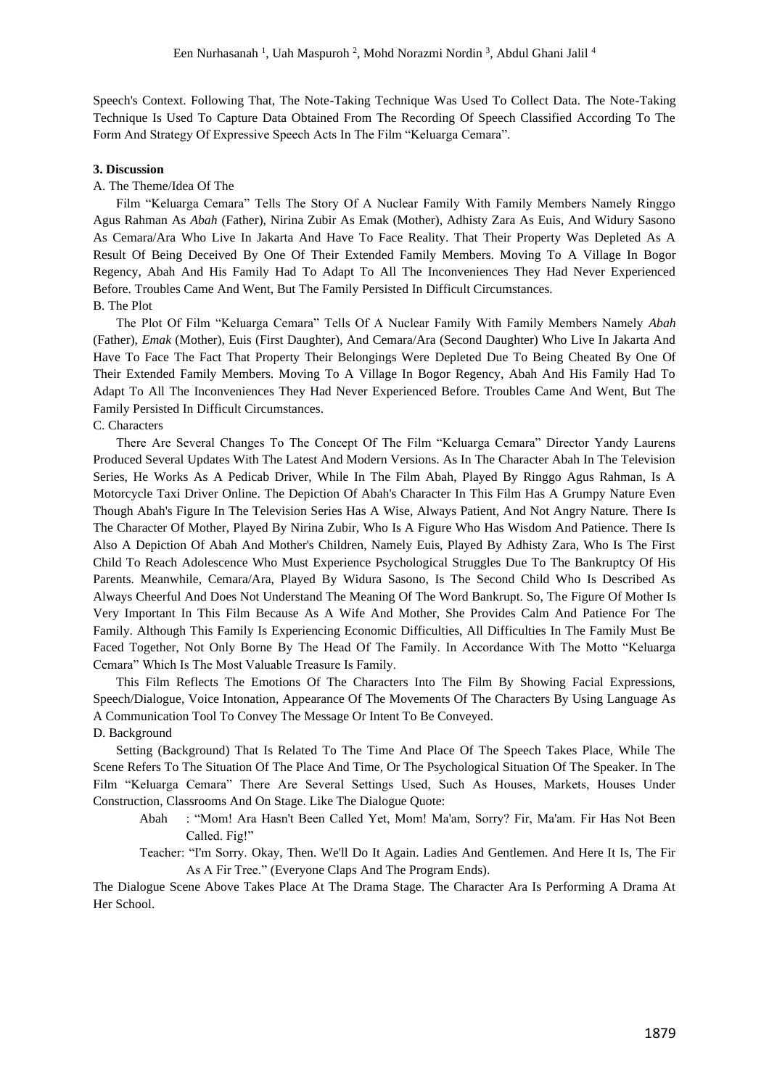Speech's Context. Following That, The Note-Taking Technique Was Used To Collect Data. The Note-Taking Technique Is Used To Capture Data Obtained From The Recording Of Speech Classified According To The Form And Strategy Of Expressive Speech Acts In The Film "Keluarga Cemara".

### **3. Discussion**

## A. The Theme/Idea Of The

Film "Keluarga Cemara" Tells The Story Of A Nuclear Family With Family Members Namely Ringgo Agus Rahman As *Abah* (Father), Nirina Zubir As Emak (Mother), Adhisty Zara As Euis, And Widury Sasono As Cemara/Ara Who Live In Jakarta And Have To Face Reality. That Their Property Was Depleted As A Result Of Being Deceived By One Of Their Extended Family Members. Moving To A Village In Bogor Regency, Abah And His Family Had To Adapt To All The Inconveniences They Had Never Experienced Before. Troubles Came And Went, But The Family Persisted In Difficult Circumstances. B. The Plot

The Plot Of Film "Keluarga Cemara" Tells Of A Nuclear Family With Family Members Namely *Abah* (Father), *Emak* (Mother), Euis (First Daughter), And Cemara/Ara (Second Daughter) Who Live In Jakarta And Have To Face The Fact That Property Their Belongings Were Depleted Due To Being Cheated By One Of Their Extended Family Members. Moving To A Village In Bogor Regency, Abah And His Family Had To Adapt To All The Inconveniences They Had Never Experienced Before. Troubles Came And Went, But The Family Persisted In Difficult Circumstances.

#### C. Characters

There Are Several Changes To The Concept Of The Film "Keluarga Cemara" Director Yandy Laurens Produced Several Updates With The Latest And Modern Versions. As In The Character Abah In The Television Series, He Works As A Pedicab Driver, While In The Film Abah, Played By Ringgo Agus Rahman, Is A Motorcycle Taxi Driver Online. The Depiction Of Abah's Character In This Film Has A Grumpy Nature Even Though Abah's Figure In The Television Series Has A Wise, Always Patient, And Not Angry Nature. There Is The Character Of Mother, Played By Nirina Zubir, Who Is A Figure Who Has Wisdom And Patience. There Is Also A Depiction Of Abah And Mother's Children, Namely Euis, Played By Adhisty Zara, Who Is The First Child To Reach Adolescence Who Must Experience Psychological Struggles Due To The Bankruptcy Of His Parents. Meanwhile, Cemara/Ara, Played By Widura Sasono, Is The Second Child Who Is Described As Always Cheerful And Does Not Understand The Meaning Of The Word Bankrupt. So, The Figure Of Mother Is Very Important In This Film Because As A Wife And Mother, She Provides Calm And Patience For The Family. Although This Family Is Experiencing Economic Difficulties, All Difficulties In The Family Must Be Faced Together, Not Only Borne By The Head Of The Family. In Accordance With The Motto "Keluarga Cemara" Which Is The Most Valuable Treasure Is Family.

This Film Reflects The Emotions Of The Characters Into The Film By Showing Facial Expressions, Speech/Dialogue, Voice Intonation, Appearance Of The Movements Of The Characters By Using Language As A Communication Tool To Convey The Message Or Intent To Be Conveyed.

## D. Background

Setting (Background) That Is Related To The Time And Place Of The Speech Takes Place, While The Scene Refers To The Situation Of The Place And Time, Or The Psychological Situation Of The Speaker. In The Film "Keluarga Cemara" There Are Several Settings Used, Such As Houses, Markets, Houses Under Construction, Classrooms And On Stage. Like The Dialogue Quote:

- Abah : "Mom! Ara Hasn't Been Called Yet, Mom! Ma'am, Sorry? Fir, Ma'am. Fir Has Not Been Called. Fig!"
- Teacher: "I'm Sorry. Okay, Then. We'll Do It Again. Ladies And Gentlemen. And Here It Is, The Fir As A Fir Tree." (Everyone Claps And The Program Ends).

The Dialogue Scene Above Takes Place At The Drama Stage. The Character Ara Is Performing A Drama At Her School.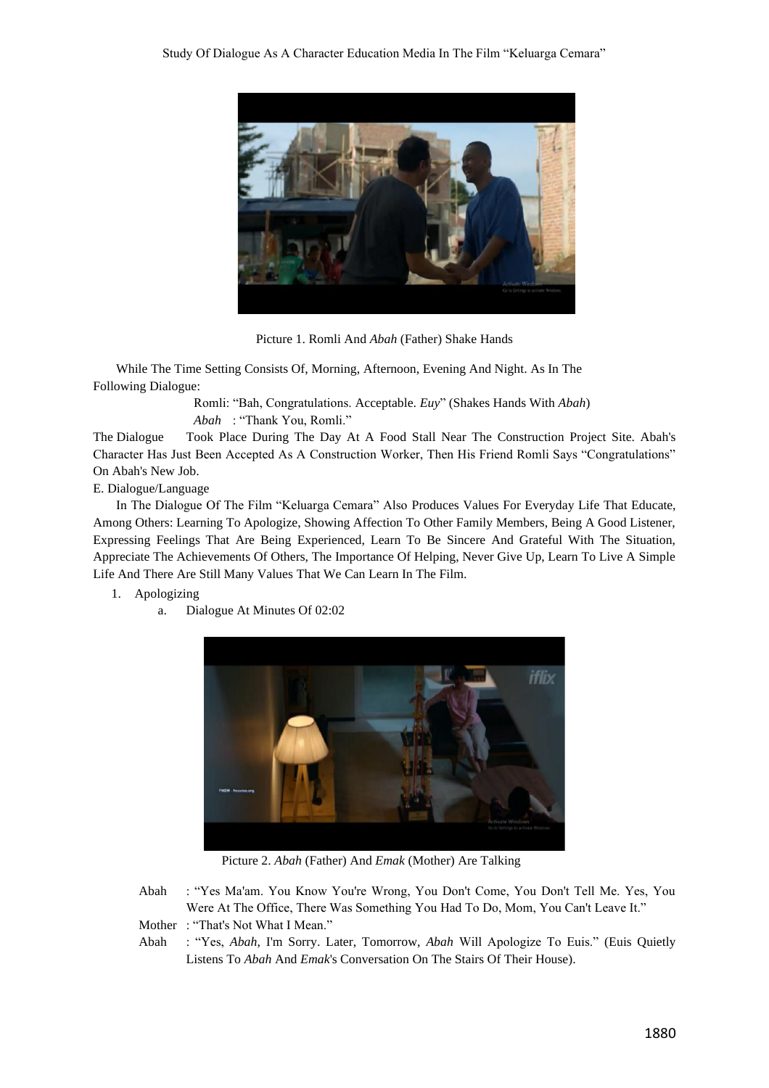

Picture 1. Romli And *Abah* (Father) Shake Hands

While The Time Setting Consists Of, Morning, Afternoon, Evening And Night. As In The Following Dialogue:

> Romli: "Bah, Congratulations. Acceptable. *Euy*" (Shakes Hands With *Abah*) *Abah* : "Thank You, Romli."

The Dialogue Took Place During The Day At A Food Stall Near The Construction Project Site. Abah's Character Has Just Been Accepted As A Construction Worker, Then His Friend Romli Says "Congratulations" On Abah's New Job.

E. Dialogue/Language

In The Dialogue Of The Film "Keluarga Cemara" Also Produces Values For Everyday Life That Educate, Among Others: Learning To Apologize, Showing Affection To Other Family Members, Being A Good Listener, Expressing Feelings That Are Being Experienced, Learn To Be Sincere And Grateful With The Situation, Appreciate The Achievements Of Others, The Importance Of Helping, Never Give Up, Learn To Live A Simple Life And There Are Still Many Values That We Can Learn In The Film.

# 1. Apologizing

a. Dialogue At Minutes Of 02:02



Picture 2. *Abah* (Father) And *Emak* (Mother) Are Talking

Abah : "Yes Ma'am. You Know You're Wrong, You Don't Come, You Don't Tell Me. Yes, You Were At The Office, There Was Something You Had To Do, Mom, You Can't Leave It." Mother : "That's Not What I Mean."

Abah : "Yes, *Abah*, I'm Sorry. Later, Tomorrow, *Abah* Will Apologize To Euis." (Euis Quietly Listens To *Abah* And *Emak*'s Conversation On The Stairs Of Their House).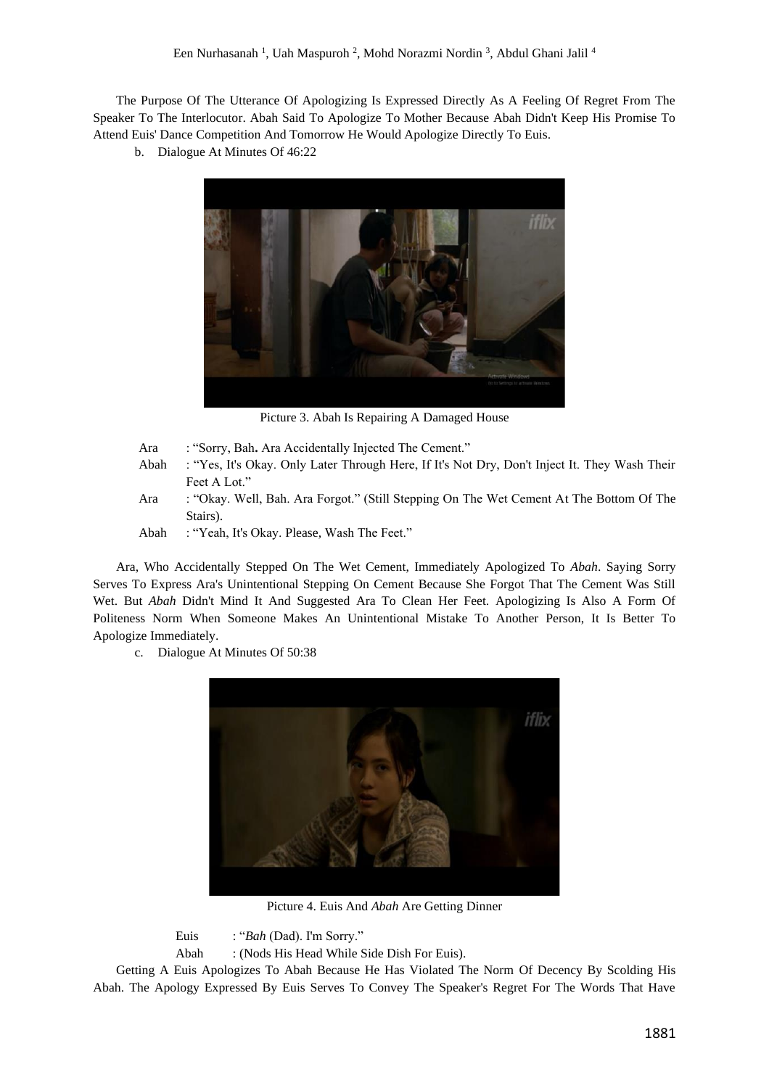The Purpose Of The Utterance Of Apologizing Is Expressed Directly As A Feeling Of Regret From The Speaker To The Interlocutor. Abah Said To Apologize To Mother Because Abah Didn't Keep His Promise To Attend Euis' Dance Competition And Tomorrow He Would Apologize Directly To Euis.

b. Dialogue At Minutes Of 46:22



Picture 3. Abah Is Repairing A Damaged House

- Ara : "Sorry, Bah**.** Ara Accidentally Injected The Cement." Abah : "Yes, It's Okay. Only Later Through Here, If It's Not Dry, Don't Inject It. They Wash Their
- Feet A Lot." Ara : "Okay. Well, Bah. Ara Forgot." (Still Stepping On The Wet Cement At The Bottom Of The Stairs).
- Abah : "Yeah, It's Okay. Please, Wash The Feet."

Ara, Who Accidentally Stepped On The Wet Cement, Immediately Apologized To *Abah*. Saying Sorry Serves To Express Ara's Unintentional Stepping On Cement Because She Forgot That The Cement Was Still Wet. But *Abah* Didn't Mind It And Suggested Ara To Clean Her Feet. Apologizing Is Also A Form Of Politeness Norm When Someone Makes An Unintentional Mistake To Another Person, It Is Better To Apologize Immediately.

c. Dialogue At Minutes Of 50:38



Picture 4. Euis And *Abah* Are Getting Dinner

Euis : "*Bah* (Dad). I'm Sorry."

Abah : (Nods His Head While Side Dish For Euis).

Getting A Euis Apologizes To Abah Because He Has Violated The Norm Of Decency By Scolding His Abah. The Apology Expressed By Euis Serves To Convey The Speaker's Regret For The Words That Have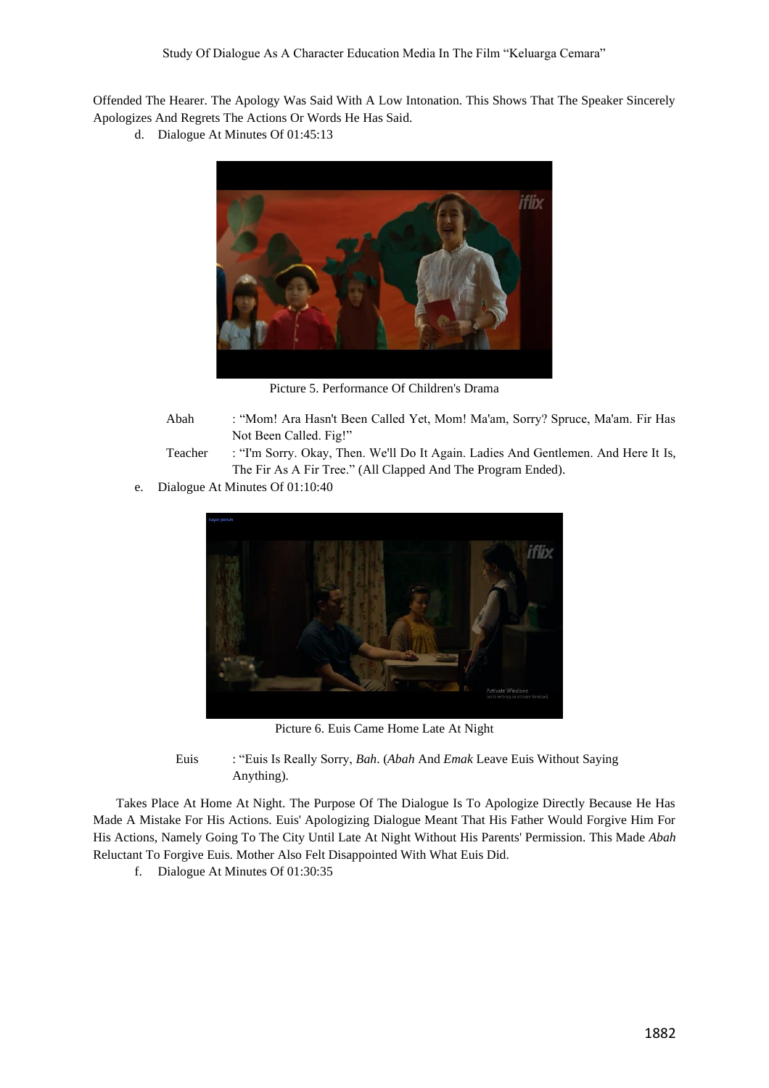Offended The Hearer. The Apology Was Said With A Low Intonation. This Shows That The Speaker Sincerely Apologizes And Regrets The Actions Or Words He Has Said.

d. Dialogue At Minutes Of 01:45:13



Picture 5. Performance Of Children's Drama

- Abah : "Mom! Ara Hasn't Been Called Yet, Mom! Ma'am, Sorry? Spruce, Ma'am. Fir Has Not Been Called. Fig!"
- Teacher : "I'm Sorry. Okay, Then. We'll Do It Again. Ladies And Gentlemen. And Here It Is, The Fir As A Fir Tree." (All Clapped And The Program Ended).
- e. Dialogue At Minutes Of 01:10:40



Picture 6. Euis Came Home Late At Night

Euis : "Euis Is Really Sorry, *Bah*. (*Abah* And *Emak* Leave Euis Without Saying Anything).

Takes Place At Home At Night. The Purpose Of The Dialogue Is To Apologize Directly Because He Has Made A Mistake For His Actions. Euis' Apologizing Dialogue Meant That His Father Would Forgive Him For His Actions, Namely Going To The City Until Late At Night Without His Parents' Permission. This Made *Abah* Reluctant To Forgive Euis. Mother Also Felt Disappointed With What Euis Did.

f. Dialogue At Minutes Of 01:30:35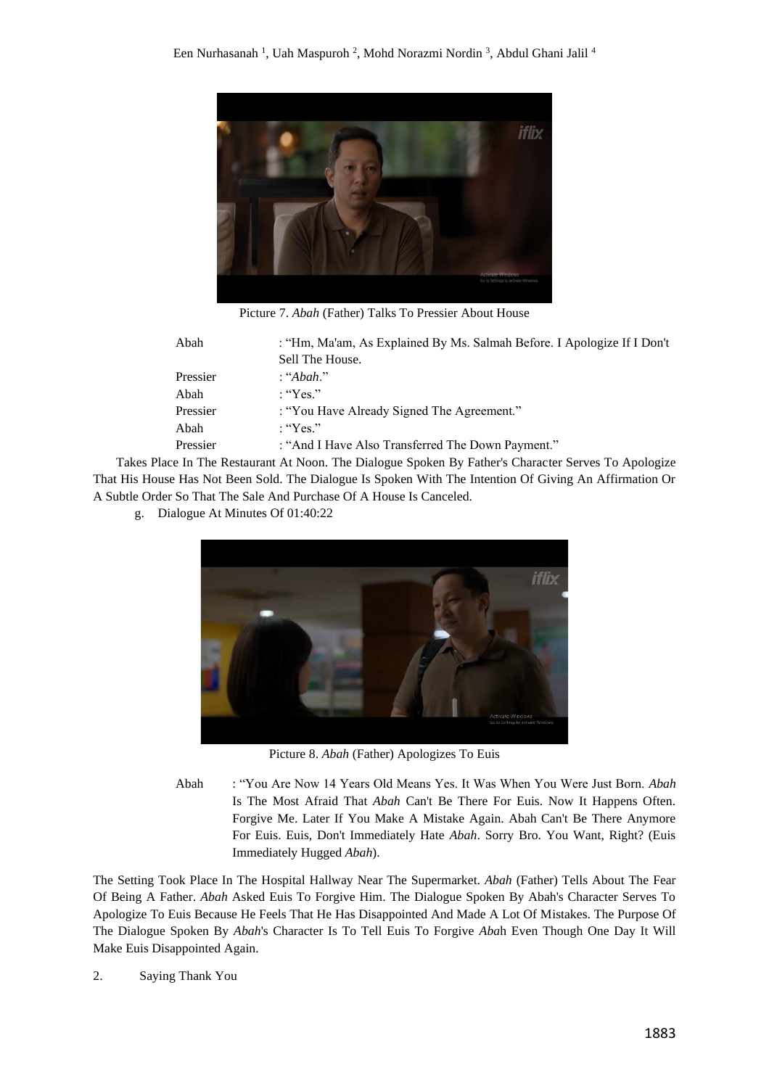

Picture 7. *Abah* (Father) Talks To Pressier About House

| Abah     | : "Hm, Ma'am, As Explained By Ms. Salmah Before. I Apologize If I Don't |
|----------|-------------------------------------------------------------------------|
|          | Sell The House.                                                         |
| Pressier | : "Abah."                                                               |
| Abah     | $:$ "Yes."                                                              |
| Pressier | : "You Have Already Signed The Agreement."                              |
| Abah     | : "Yes."                                                                |
| Pressier | : "And I Have Also Transferred The Down Payment."                       |

Takes Place In The Restaurant At Noon. The Dialogue Spoken By Father's Character Serves To Apologize That His House Has Not Been Sold. The Dialogue Is Spoken With The Intention Of Giving An Affirmation Or A Subtle Order So That The Sale And Purchase Of A House Is Canceled.

g. Dialogue At Minutes Of 01:40:22



Picture 8. *Abah* (Father) Apologizes To Euis

Abah : "You Are Now 14 Years Old Means Yes. It Was When You Were Just Born. *Abah* Is The Most Afraid That *Abah* Can't Be There For Euis. Now It Happens Often. Forgive Me. Later If You Make A Mistake Again. Abah Can't Be There Anymore For Euis. Euis, Don't Immediately Hate *Abah*. Sorry Bro. You Want, Right? (Euis Immediately Hugged *Abah*).

The Setting Took Place In The Hospital Hallway Near The Supermarket. *Abah* (Father) Tells About The Fear Of Being A Father. *Abah* Asked Euis To Forgive Him. The Dialogue Spoken By Abah's Character Serves To Apologize To Euis Because He Feels That He Has Disappointed And Made A Lot Of Mistakes. The Purpose Of The Dialogue Spoken By *Abah*'s Character Is To Tell Euis To Forgive *Aba*h Even Though One Day It Will Make Euis Disappointed Again.

2. Saying Thank You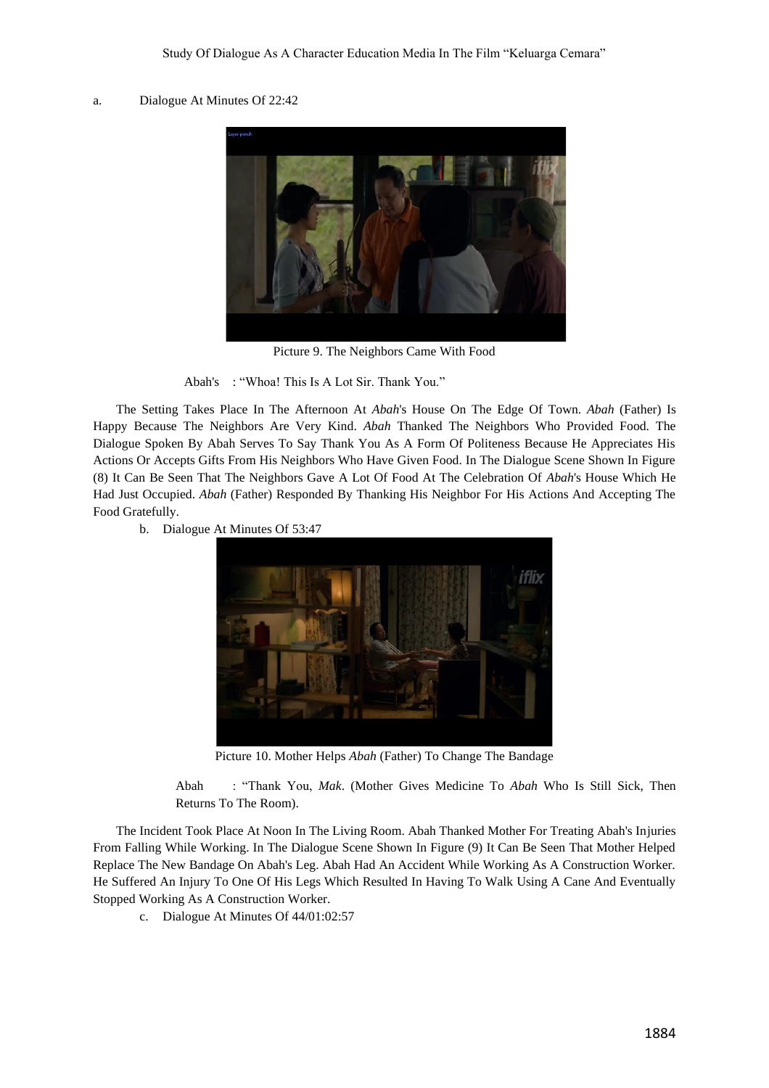## a. Dialogue At Minutes Of 22:42



Picture 9. The Neighbors Came With Food

Abah's : "Whoa! This Is A Lot Sir. Thank You."

The Setting Takes Place In The Afternoon At *Abah*'s House On The Edge Of Town. *Abah* (Father) Is Happy Because The Neighbors Are Very Kind. *Abah* Thanked The Neighbors Who Provided Food. The Dialogue Spoken By Abah Serves To Say Thank You As A Form Of Politeness Because He Appreciates His Actions Or Accepts Gifts From His Neighbors Who Have Given Food. In The Dialogue Scene Shown In Figure (8) It Can Be Seen That The Neighbors Gave A Lot Of Food At The Celebration Of *Abah*'s House Which He Had Just Occupied. *Abah* (Father) Responded By Thanking His Neighbor For His Actions And Accepting The Food Gratefully.

b. Dialogue At Minutes Of 53:47



Picture 10. Mother Helps *Abah* (Father) To Change The Bandage

Abah : "Thank You, *Mak*. (Mother Gives Medicine To *Abah* Who Is Still Sick, Then Returns To The Room).

The Incident Took Place At Noon In The Living Room. Abah Thanked Mother For Treating Abah's Injuries From Falling While Working. In The Dialogue Scene Shown In Figure (9) It Can Be Seen That Mother Helped Replace The New Bandage On Abah's Leg. Abah Had An Accident While Working As A Construction Worker. He Suffered An Injury To One Of His Legs Which Resulted In Having To Walk Using A Cane And Eventually Stopped Working As A Construction Worker.

c. Dialogue At Minutes Of 44/01:02:57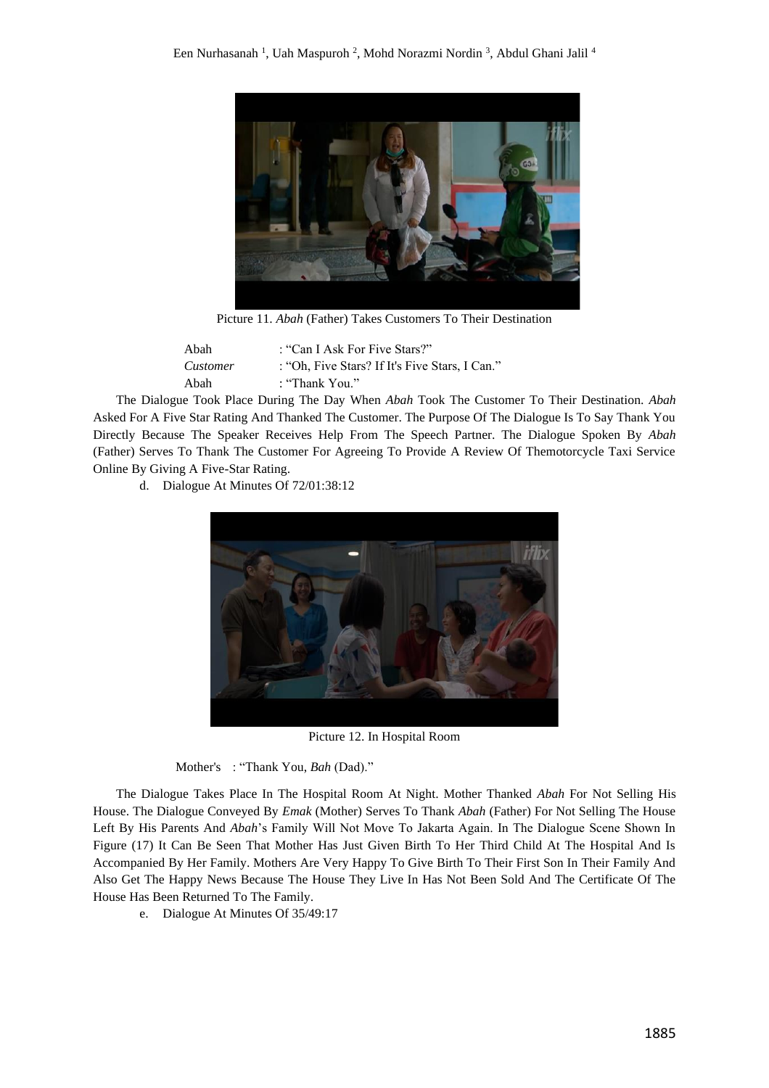

Picture 11. *Abah* (Father) Takes Customers To Their Destination

| Abah     | : "Can I Ask For Five Stars?"                  |
|----------|------------------------------------------------|
| Customer | : "Oh. Five Stars? If It's Five Stars. I Can." |
| Abah     | : "Thank You."                                 |

The Dialogue Took Place During The Day When *Abah* Took The Customer To Their Destination. *Abah* Asked For A Five Star Rating And Thanked The Customer. The Purpose Of The Dialogue Is To Say Thank You Directly Because The Speaker Receives Help From The Speech Partner. The Dialogue Spoken By *Abah* (Father) Serves To Thank The Customer For Agreeing To Provide A Review Of Themotorcycle Taxi Service Online By Giving A Five-Star Rating.

d. Dialogue At Minutes Of 72/01:38:12



Picture 12. In Hospital Room

Mother's : "Thank You, *Bah* (Dad)."

The Dialogue Takes Place In The Hospital Room At Night. Mother Thanked *Abah* For Not Selling His House. The Dialogue Conveyed By *Emak* (Mother) Serves To Thank *Abah* (Father) For Not Selling The House Left By His Parents And *Abah*'s Family Will Not Move To Jakarta Again. In The Dialogue Scene Shown In Figure (17) It Can Be Seen That Mother Has Just Given Birth To Her Third Child At The Hospital And Is Accompanied By Her Family. Mothers Are Very Happy To Give Birth To Their First Son In Their Family And Also Get The Happy News Because The House They Live In Has Not Been Sold And The Certificate Of The House Has Been Returned To The Family.

e. Dialogue At Minutes Of 35/49:17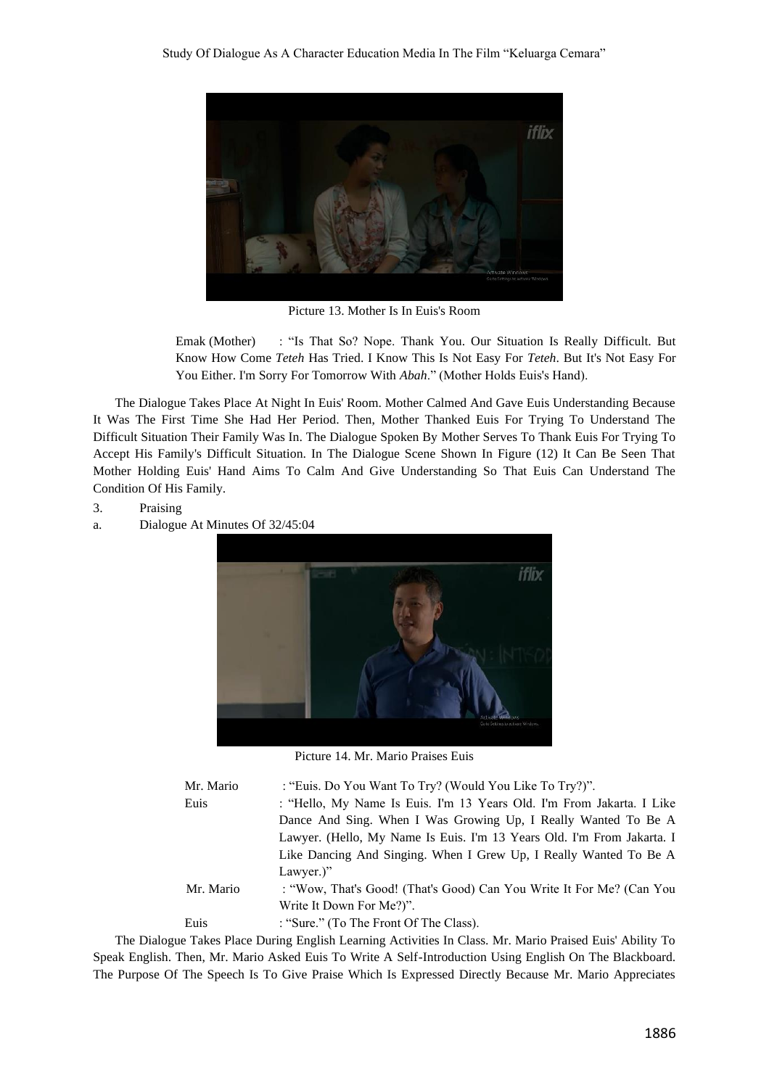

Picture 13. Mother Is In Euis's Room

Emak (Mother) : "Is That So? Nope. Thank You. Our Situation Is Really Difficult. But Know How Come *Teteh* Has Tried. I Know This Is Not Easy For *Teteh*. But It's Not Easy For You Either. I'm Sorry For Tomorrow With *Abah*." (Mother Holds Euis's Hand).

The Dialogue Takes Place At Night In Euis' Room. Mother Calmed And Gave Euis Understanding Because It Was The First Time She Had Her Period. Then, Mother Thanked Euis For Trying To Understand The Difficult Situation Their Family Was In. The Dialogue Spoken By Mother Serves To Thank Euis For Trying To Accept His Family's Difficult Situation. In The Dialogue Scene Shown In Figure (12) It Can Be Seen That Mother Holding Euis' Hand Aims To Calm And Give Understanding So That Euis Can Understand The Condition Of His Family.

- 3. Praising
- a. Dialogue At Minutes Of 32/45:04



Picture 14. Mr. Mario Praises Euis

| Mr. Mario | : "Euis. Do You Want To Try? (Would You Like To Try?)".                |
|-----------|------------------------------------------------------------------------|
| Euis      | : "Hello, My Name Is Euis. I'm 13 Years Old. I'm From Jakarta. I Like  |
|           | Dance And Sing. When I Was Growing Up, I Really Wanted To Be A         |
|           | Lawyer. (Hello, My Name Is Euis. I'm 13 Years Old. I'm From Jakarta. I |
|           | Like Dancing And Singing. When I Grew Up, I Really Wanted To Be A      |
|           | Lawyer.)"                                                              |
| Mr. Mario | : "Wow, That's Good! (That's Good) Can You Write It For Me? (Can You   |
|           | Write It Down For Me?)".                                               |
| Euis      | : "Sure." (To The Front Of The Class).                                 |
|           |                                                                        |

The Dialogue Takes Place During English Learning Activities In Class. Mr. Mario Praised Euis' Ability To Speak English. Then, Mr. Mario Asked Euis To Write A Self-Introduction Using English On The Blackboard. The Purpose Of The Speech Is To Give Praise Which Is Expressed Directly Because Mr. Mario Appreciates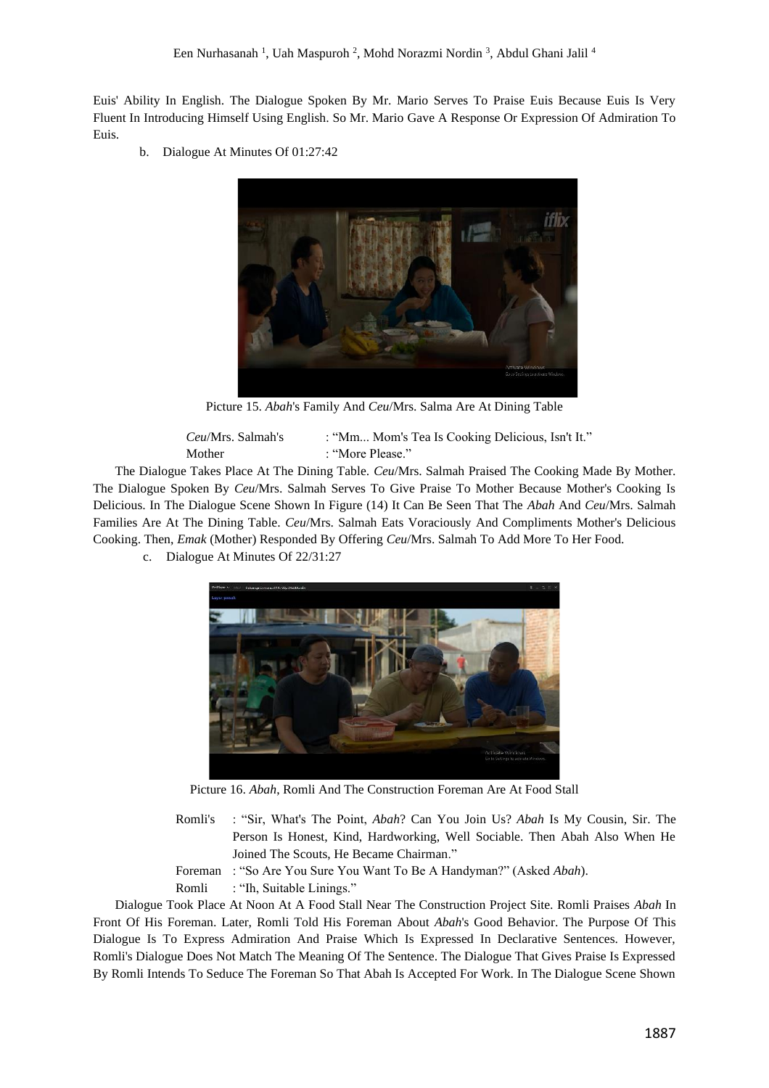Euis' Ability In English. The Dialogue Spoken By Mr. Mario Serves To Praise Euis Because Euis Is Very Fluent In Introducing Himself Using English. So Mr. Mario Gave A Response Or Expression Of Admiration To Euis.

b. Dialogue At Minutes Of 01:27:42



Picture 15. *Abah*'s Family And *Ceu*/Mrs. Salma Are At Dining Table

| <i>Ceu/Mrs. Salmah's</i> | : "Mm Mom's Tea Is Cooking Delicious, Isn't It." |
|--------------------------|--------------------------------------------------|
| Mother                   | : "More Please."                                 |

The Dialogue Takes Place At The Dining Table. *Ceu*/Mrs. Salmah Praised The Cooking Made By Mother. The Dialogue Spoken By *Ceu*/Mrs. Salmah Serves To Give Praise To Mother Because Mother's Cooking Is Delicious. In The Dialogue Scene Shown In Figure (14) It Can Be Seen That The *Abah* And *Ceu*/Mrs. Salmah Families Are At The Dining Table. *Ceu*/Mrs. Salmah Eats Voraciously And Compliments Mother's Delicious Cooking. Then, *Emak* (Mother) Responded By Offering *Ceu*/Mrs. Salmah To Add More To Her Food.

c. Dialogue At Minutes Of 22/31:27



Picture 16. *Abah*, Romli And The Construction Foreman Are At Food Stall

- Romli's : "Sir, What's The Point, *Abah*? Can You Join Us? *Abah* Is My Cousin, Sir. The Person Is Honest, Kind, Hardworking, Well Sociable. Then Abah Also When He Joined The Scouts, He Became Chairman."
- Foreman : "So Are You Sure You Want To Be A Handyman?" (Asked *Abah*).
- Romli : "Ih, Suitable Linings."

Dialogue Took Place At Noon At A Food Stall Near The Construction Project Site. Romli Praises *Abah* In Front Of His Foreman. Later, Romli Told His Foreman About *Abah*'s Good Behavior. The Purpose Of This Dialogue Is To Express Admiration And Praise Which Is Expressed In Declarative Sentences. However, Romli's Dialogue Does Not Match The Meaning Of The Sentence. The Dialogue That Gives Praise Is Expressed By Romli Intends To Seduce The Foreman So That Abah Is Accepted For Work. In The Dialogue Scene Shown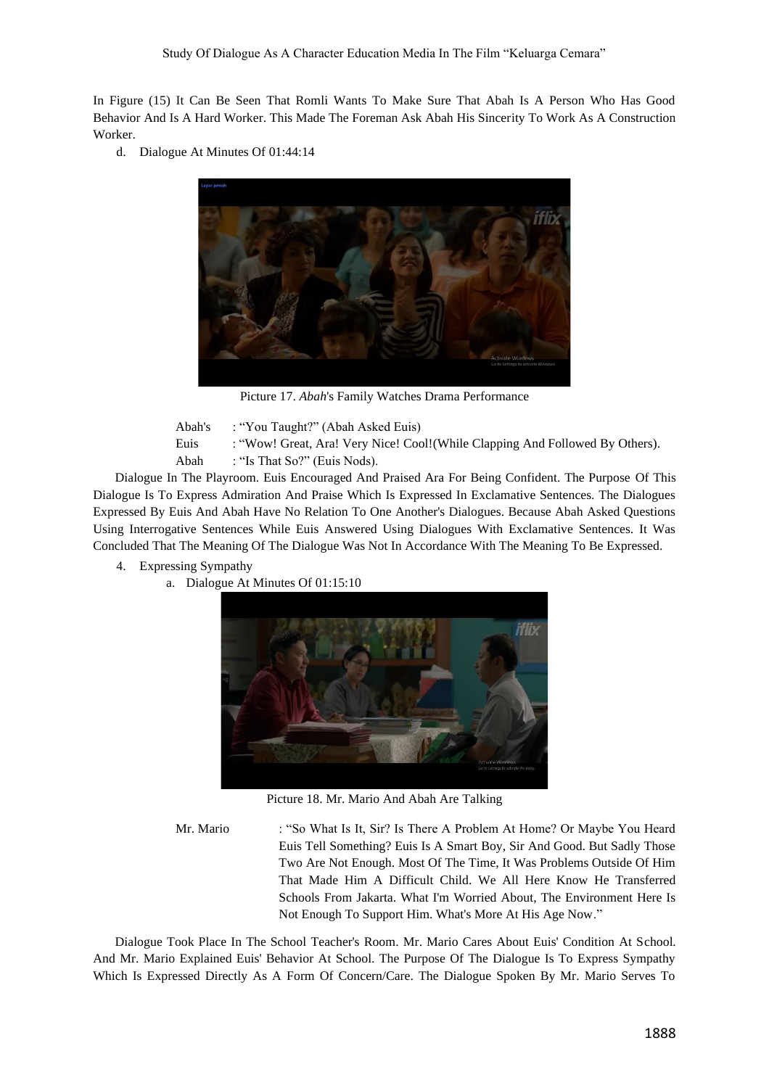In Figure (15) It Can Be Seen That Romli Wants To Make Sure That Abah Is A Person Who Has Good Behavior And Is A Hard Worker. This Made The Foreman Ask Abah His Sincerity To Work As A Construction Worker.

d. Dialogue At Minutes Of 01:44:14



Picture 17. *Abah*'s Family Watches Drama Performance

Abah's : "You Taught?" (Abah Asked Euis) Euis : "Wow! Great, Ara! Very Nice! Cool!(While Clapping And Followed By Others). Abah : "Is That So?" (Euis Nods).

Dialogue In The Playroom. Euis Encouraged And Praised Ara For Being Confident. The Purpose Of This Dialogue Is To Express Admiration And Praise Which Is Expressed In Exclamative Sentences. The Dialogues Expressed By Euis And Abah Have No Relation To One Another's Dialogues. Because Abah Asked Questions Using Interrogative Sentences While Euis Answered Using Dialogues With Exclamative Sentences. It Was Concluded That The Meaning Of The Dialogue Was Not In Accordance With The Meaning To Be Expressed.

- 4. Expressing Sympathy
	- a. Dialogue At Minutes Of 01:15:10



Picture 18. Mr. Mario And Abah Are Talking

Mr. Mario : "So What Is It, Sir? Is There A Problem At Home? Or Maybe You Heard Euis Tell Something? Euis Is A Smart Boy, Sir And Good. But Sadly Those Two Are Not Enough. Most Of The Time, It Was Problems Outside Of Him That Made Him A Difficult Child. We All Here Know He Transferred Schools From Jakarta. What I'm Worried About, The Environment Here Is Not Enough To Support Him. What's More At His Age Now."

Dialogue Took Place In The School Teacher's Room. Mr. Mario Cares About Euis' Condition At School. And Mr. Mario Explained Euis' Behavior At School. The Purpose Of The Dialogue Is To Express Sympathy Which Is Expressed Directly As A Form Of Concern/Care. The Dialogue Spoken By Mr. Mario Serves To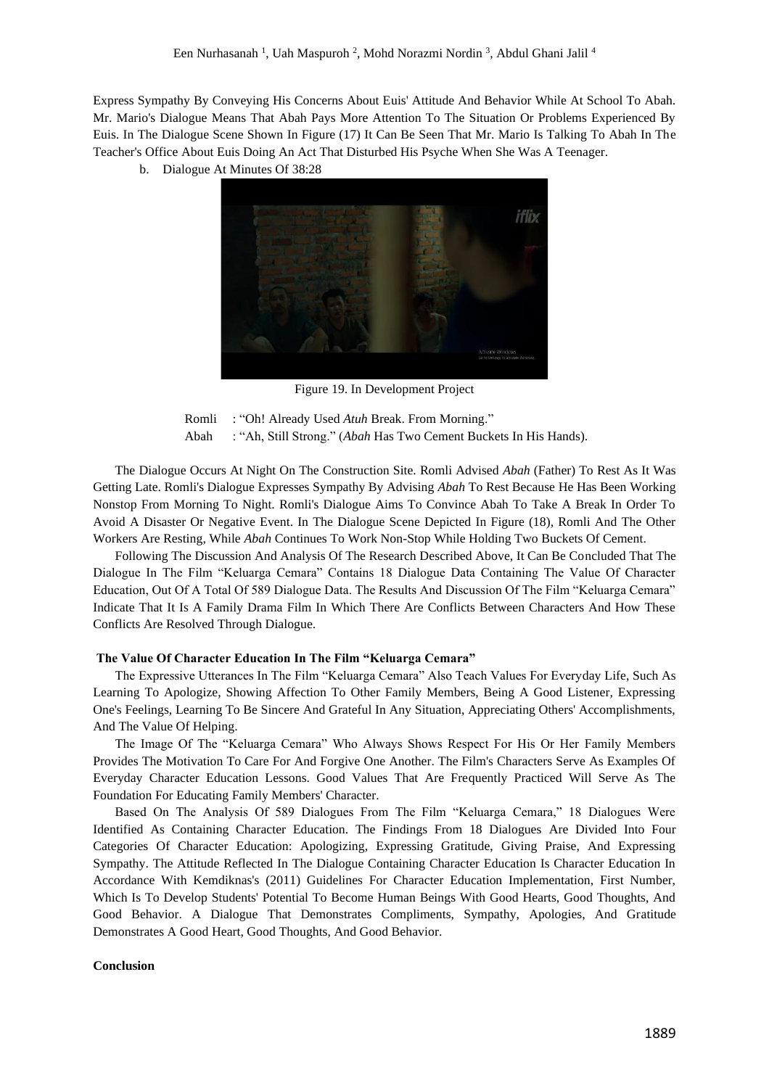Express Sympathy By Conveying His Concerns About Euis' Attitude And Behavior While At School To Abah. Mr. Mario's Dialogue Means That Abah Pays More Attention To The Situation Or Problems Experienced By Euis. In The Dialogue Scene Shown In Figure (17) It Can Be Seen That Mr. Mario Is Talking To Abah In The Teacher's Office About Euis Doing An Act That Disturbed His Psyche When She Was A Teenager.

b. Dialogue At Minutes Of 38:28



Figure 19. In Development Project

Romli : "Oh! Already Used *Atuh* Break. From Morning." Abah : "Ah, Still Strong." (*Abah* Has Two Cement Buckets In His Hands).

The Dialogue Occurs At Night On The Construction Site. Romli Advised *Abah* (Father) To Rest As It Was Getting Late. Romli's Dialogue Expresses Sympathy By Advising *Abah* To Rest Because He Has Been Working Nonstop From Morning To Night. Romli's Dialogue Aims To Convince Abah To Take A Break In Order To Avoid A Disaster Or Negative Event. In The Dialogue Scene Depicted In Figure (18), Romli And The Other Workers Are Resting, While *Abah* Continues To Work Non-Stop While Holding Two Buckets Of Cement.

Following The Discussion And Analysis Of The Research Described Above, It Can Be Concluded That The Dialogue In The Film "Keluarga Cemara" Contains 18 Dialogue Data Containing The Value Of Character Education, Out Of A Total Of 589 Dialogue Data. The Results And Discussion Of The Film "Keluarga Cemara" Indicate That It Is A Family Drama Film In Which There Are Conflicts Between Characters And How These Conflicts Are Resolved Through Dialogue.

### **The Value Of Character Education In The Film "Keluarga Cemara"**

The Expressive Utterances In The Film "Keluarga Cemara" Also Teach Values For Everyday Life, Such As Learning To Apologize, Showing Affection To Other Family Members, Being A Good Listener, Expressing One's Feelings, Learning To Be Sincere And Grateful In Any Situation, Appreciating Others' Accomplishments, And The Value Of Helping.

The Image Of The "Keluarga Cemara" Who Always Shows Respect For His Or Her Family Members Provides The Motivation To Care For And Forgive One Another. The Film's Characters Serve As Examples Of Everyday Character Education Lessons. Good Values That Are Frequently Practiced Will Serve As The Foundation For Educating Family Members' Character.

Based On The Analysis Of 589 Dialogues From The Film "Keluarga Cemara," 18 Dialogues Were Identified As Containing Character Education. The Findings From 18 Dialogues Are Divided Into Four Categories Of Character Education: Apologizing, Expressing Gratitude, Giving Praise, And Expressing Sympathy. The Attitude Reflected In The Dialogue Containing Character Education Is Character Education In Accordance With Kemdiknas's (2011) Guidelines For Character Education Implementation, First Number, Which Is To Develop Students' Potential To Become Human Beings With Good Hearts, Good Thoughts, And Good Behavior. A Dialogue That Demonstrates Compliments, Sympathy, Apologies, And Gratitude Demonstrates A Good Heart, Good Thoughts, And Good Behavior.

## **Conclusion**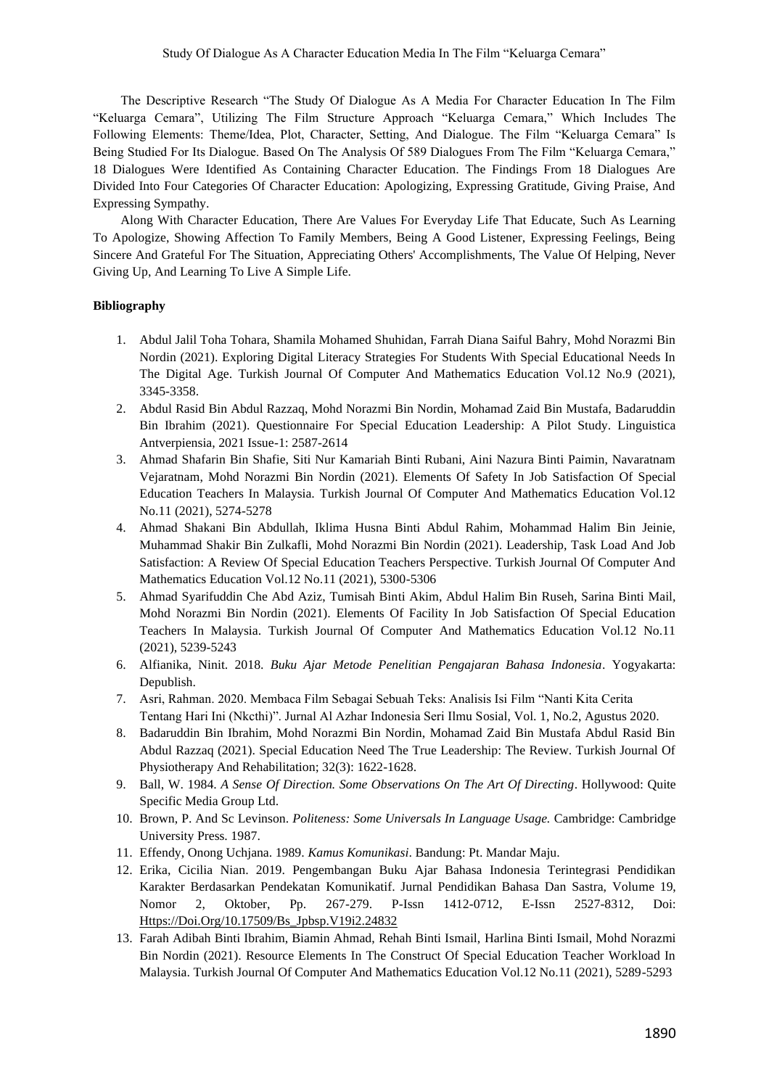The Descriptive Research "The Study Of Dialogue As A Media For Character Education In The Film "Keluarga Cemara", Utilizing The Film Structure Approach "Keluarga Cemara," Which Includes The Following Elements: Theme/Idea, Plot, Character, Setting, And Dialogue. The Film "Keluarga Cemara" Is Being Studied For Its Dialogue. Based On The Analysis Of 589 Dialogues From The Film "Keluarga Cemara," 18 Dialogues Were Identified As Containing Character Education. The Findings From 18 Dialogues Are Divided Into Four Categories Of Character Education: Apologizing, Expressing Gratitude, Giving Praise, And Expressing Sympathy.

Along With Character Education, There Are Values For Everyday Life That Educate, Such As Learning To Apologize, Showing Affection To Family Members, Being A Good Listener, Expressing Feelings, Being Sincere And Grateful For The Situation, Appreciating Others' Accomplishments, The Value Of Helping, Never Giving Up, And Learning To Live A Simple Life.

# **Bibliography**

- 1. Abdul Jalil Toha Tohara, Shamila Mohamed Shuhidan, Farrah Diana Saiful Bahry, Mohd Norazmi Bin Nordin (2021). Exploring Digital Literacy Strategies For Students With Special Educational Needs In The Digital Age. Turkish Journal Of Computer And Mathematics Education Vol.12 No.9 (2021), 3345-3358.
- 2. Abdul Rasid Bin Abdul Razzaq, Mohd Norazmi Bin Nordin, Mohamad Zaid Bin Mustafa, Badaruddin Bin Ibrahim (2021). Questionnaire For Special Education Leadership: A Pilot Study. Linguistica Antverpiensia, 2021 Issue-1: 2587-2614
- 3. Ahmad Shafarin Bin Shafie, Siti Nur Kamariah Binti Rubani, Aini Nazura Binti Paimin, Navaratnam Vejaratnam, Mohd Norazmi Bin Nordin (2021). Elements Of Safety In Job Satisfaction Of Special Education Teachers In Malaysia. Turkish Journal Of Computer And Mathematics Education Vol.12 No.11 (2021), 5274-5278
- 4. Ahmad Shakani Bin Abdullah, Iklima Husna Binti Abdul Rahim, Mohammad Halim Bin Jeinie, Muhammad Shakir Bin Zulkafli, Mohd Norazmi Bin Nordin (2021). Leadership, Task Load And Job Satisfaction: A Review Of Special Education Teachers Perspective. Turkish Journal Of Computer And Mathematics Education Vol.12 No.11 (2021), 5300-5306
- 5. Ahmad Syarifuddin Che Abd Aziz, Tumisah Binti Akim, Abdul Halim Bin Ruseh, Sarina Binti Mail, Mohd Norazmi Bin Nordin (2021). Elements Of Facility In Job Satisfaction Of Special Education Teachers In Malaysia. Turkish Journal Of Computer And Mathematics Education Vol.12 No.11 (2021), 5239-5243
- 6. Alfianika, Ninit. 2018. *Buku Ajar Metode Penelitian Pengajaran Bahasa Indonesia*. Yogyakarta: Depublish.
- 7. Asri, Rahman. 2020. Membaca Film Sebagai Sebuah Teks: Analisis Isi Film "Nanti Kita Cerita Tentang Hari Ini (Nkcthi)". Jurnal Al Azhar Indonesia Seri Ilmu Sosial, Vol. 1, No.2, Agustus 2020.
- 8. Badaruddin Bin Ibrahim, Mohd Norazmi Bin Nordin, Mohamad Zaid Bin Mustafa Abdul Rasid Bin Abdul Razzaq (2021). Special Education Need The True Leadership: The Review. Turkish Journal Of Physiotherapy And Rehabilitation; 32(3): 1622-1628.
- 9. Ball, W. 1984. *A Sense Of Direction. Some Observations On The Art Of Directing*. Hollywood: Quite Specific Media Group Ltd.
- 10. Brown, P. And Sc Levinson. *Politeness: Some Universals In Language Usage.* Cambridge: Cambridge University Press. 1987.
- 11. Effendy, Onong Uchjana. 1989. *Kamus Komunikasi*. Bandung: Pt. Mandar Maju.
- 12. Erika, Cicilia Nian. 2019. Pengembangan Buku Ajar Bahasa Indonesia Terintegrasi Pendidikan Karakter Berdasarkan Pendekatan Komunikatif. Jurnal Pendidikan Bahasa Dan Sastra, Volume 19, Nomor 2, Oktober, Pp. 267-279. P-Issn 1412-0712, E-Issn 2527-8312, Doi: [Https://Doi.Org/10.17509/Bs\\_Jpbsp.V19i2.24832](https://doi.org/10.17509/bs_jpbsp.v19i2.24832)
- 13. Farah Adibah Binti Ibrahim, Biamin Ahmad, Rehah Binti Ismail, Harlina Binti Ismail, Mohd Norazmi Bin Nordin (2021). Resource Elements In The Construct Of Special Education Teacher Workload In Malaysia. Turkish Journal Of Computer And Mathematics Education Vol.12 No.11 (2021), 5289-5293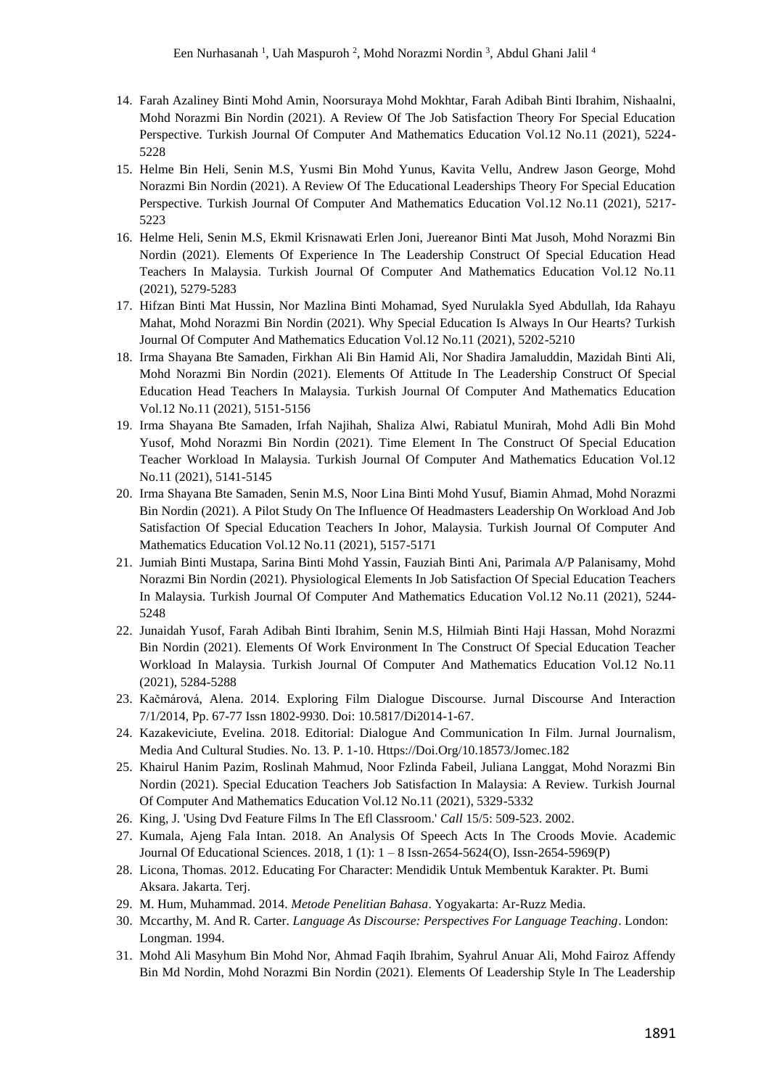- 14. Farah Azaliney Binti Mohd Amin, Noorsuraya Mohd Mokhtar, Farah Adibah Binti Ibrahim, Nishaalni, Mohd Norazmi Bin Nordin (2021). A Review Of The Job Satisfaction Theory For Special Education Perspective. Turkish Journal Of Computer And Mathematics Education Vol.12 No.11 (2021), 5224- 5228
- 15. Helme Bin Heli, Senin M.S, Yusmi Bin Mohd Yunus, Kavita Vellu, Andrew Jason George, Mohd Norazmi Bin Nordin (2021). A Review Of The Educational Leaderships Theory For Special Education Perspective. Turkish Journal Of Computer And Mathematics Education Vol.12 No.11 (2021), 5217- 5223
- 16. Helme Heli, Senin M.S, Ekmil Krisnawati Erlen Joni, Juereanor Binti Mat Jusoh, Mohd Norazmi Bin Nordin (2021). Elements Of Experience In The Leadership Construct Of Special Education Head Teachers In Malaysia. Turkish Journal Of Computer And Mathematics Education Vol.12 No.11 (2021), 5279-5283
- 17. Hifzan Binti Mat Hussin, Nor Mazlina Binti Mohamad, Syed Nurulakla Syed Abdullah, Ida Rahayu Mahat, Mohd Norazmi Bin Nordin (2021). Why Special Education Is Always In Our Hearts? Turkish Journal Of Computer And Mathematics Education Vol.12 No.11 (2021), 5202-5210
- 18. Irma Shayana Bte Samaden, Firkhan Ali Bin Hamid Ali, Nor Shadira Jamaluddin, Mazidah Binti Ali, Mohd Norazmi Bin Nordin (2021). Elements Of Attitude In The Leadership Construct Of Special Education Head Teachers In Malaysia. Turkish Journal Of Computer And Mathematics Education Vol.12 No.11 (2021), 5151-5156
- 19. Irma Shayana Bte Samaden, Irfah Najihah, Shaliza Alwi, Rabiatul Munirah, Mohd Adli Bin Mohd Yusof, Mohd Norazmi Bin Nordin (2021). Time Element In The Construct Of Special Education Teacher Workload In Malaysia. Turkish Journal Of Computer And Mathematics Education Vol.12 No.11 (2021), 5141-5145
- 20. Irma Shayana Bte Samaden, Senin M.S, Noor Lina Binti Mohd Yusuf, Biamin Ahmad, Mohd Norazmi Bin Nordin (2021). A Pilot Study On The Influence Of Headmasters Leadership On Workload And Job Satisfaction Of Special Education Teachers In Johor, Malaysia. Turkish Journal Of Computer And Mathematics Education Vol.12 No.11 (2021), 5157-5171
- 21. Jumiah Binti Mustapa, Sarina Binti Mohd Yassin, Fauziah Binti Ani, Parimala A/P Palanisamy, Mohd Norazmi Bin Nordin (2021). Physiological Elements In Job Satisfaction Of Special Education Teachers In Malaysia. Turkish Journal Of Computer And Mathematics Education Vol.12 No.11 (2021), 5244- 5248
- 22. Junaidah Yusof, Farah Adibah Binti Ibrahim, Senin M.S, Hilmiah Binti Haji Hassan, Mohd Norazmi Bin Nordin (2021). Elements Of Work Environment In The Construct Of Special Education Teacher Workload In Malaysia. Turkish Journal Of Computer And Mathematics Education Vol.12 No.11 (2021), 5284-5288
- 23. Kačmárová, Alena. 2014. Exploring Film Dialogue Discourse. Jurnal Discourse And Interaction 7/1/2014, Pp. 67-77 Issn 1802-9930. Doi: 10.5817/Di2014-1-67.
- 24. Kazakeviciute, Evelina. 2018. Editorial: Dialogue And Communication In Film. Jurnal Journalism, Media And Cultural Studies. No. 13. P. 1-10. Https://Doi.Org/10.18573/Jomec.182
- 25. Khairul Hanim Pazim, Roslinah Mahmud, Noor Fzlinda Fabeil, Juliana Langgat, Mohd Norazmi Bin Nordin (2021). Special Education Teachers Job Satisfaction In Malaysia: A Review. Turkish Journal Of Computer And Mathematics Education Vol.12 No.11 (2021), 5329-5332
- 26. King, J. 'Using Dvd Feature Films In The Efl Classroom.' *Call* 15/5: 509-523. 2002.
- 27. Kumala, Ajeng Fala Intan. 2018. An Analysis Of Speech Acts In The Croods Movie. Academic Journal Of Educational Sciences. 2018, 1 (1): 1 – 8 Issn-2654-5624(O), Issn-2654-5969(P)
- 28. Licona, Thomas. 2012. Educating For Character: Mendidik Untuk Membentuk Karakter. Pt. Bumi Aksara. Jakarta. Terj.
- 29. M. Hum, Muhammad. 2014. *Metode Penelitian Bahasa*. Yogyakarta: Ar-Ruzz Media.
- 30. Mccarthy, M. And R. Carter. *Language As Discourse: Perspectives For Language Teaching*. London: Longman. 1994.
- 31. Mohd Ali Masyhum Bin Mohd Nor, Ahmad Faqih Ibrahim, Syahrul Anuar Ali, Mohd Fairoz Affendy Bin Md Nordin, Mohd Norazmi Bin Nordin (2021). Elements Of Leadership Style In The Leadership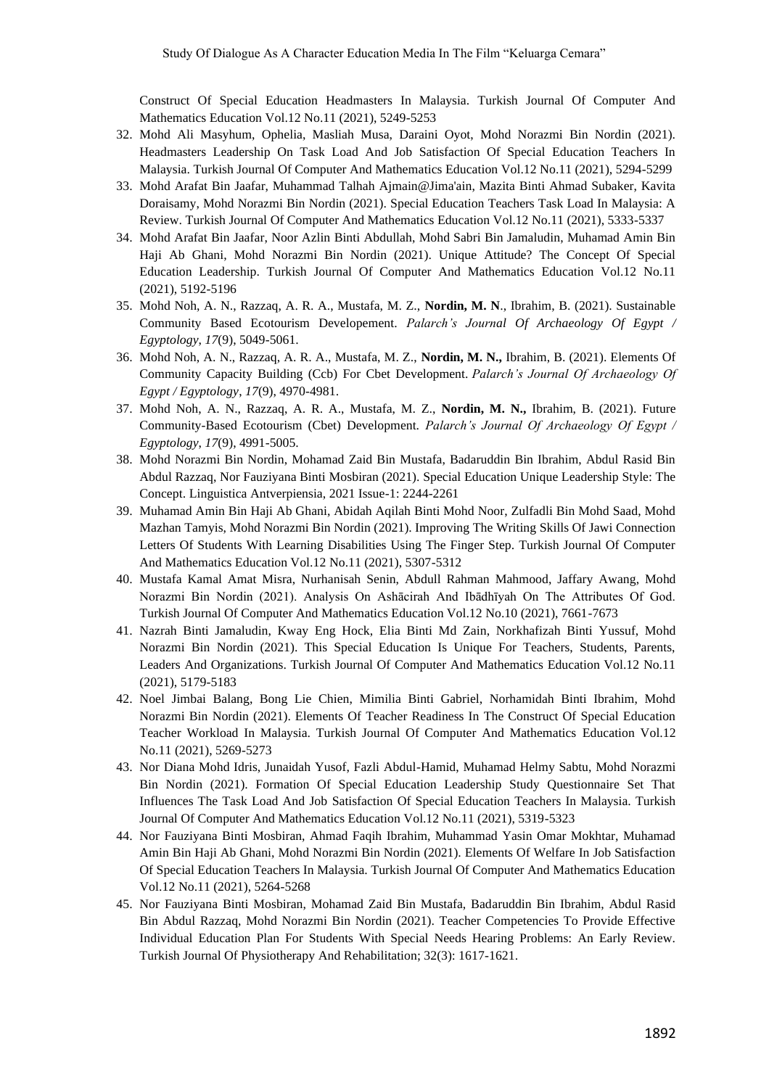Construct Of Special Education Headmasters In Malaysia. Turkish Journal Of Computer And Mathematics Education Vol.12 No.11 (2021), 5249-5253

- 32. Mohd Ali Masyhum, Ophelia, Masliah Musa, Daraini Oyot, Mohd Norazmi Bin Nordin (2021). Headmasters Leadership On Task Load And Job Satisfaction Of Special Education Teachers In Malaysia. Turkish Journal Of Computer And Mathematics Education Vol.12 No.11 (2021), 5294-5299
- 33. Mohd Arafat Bin Jaafar, Muhammad Talhah Ajmain@Jima'ain, Mazita Binti Ahmad Subaker, Kavita Doraisamy, Mohd Norazmi Bin Nordin (2021). Special Education Teachers Task Load In Malaysia: A Review. Turkish Journal Of Computer And Mathematics Education Vol.12 No.11 (2021), 5333-5337
- 34. Mohd Arafat Bin Jaafar, Noor Azlin Binti Abdullah, Mohd Sabri Bin Jamaludin, Muhamad Amin Bin Haji Ab Ghani, Mohd Norazmi Bin Nordin (2021). Unique Attitude? The Concept Of Special Education Leadership. Turkish Journal Of Computer And Mathematics Education Vol.12 No.11 (2021), 5192-5196
- 35. Mohd Noh, A. N., Razzaq, A. R. A., Mustafa, M. Z., **Nordin, M. N**., Ibrahim, B. (2021). Sustainable Community Based Ecotourism Developement. *Palarch's Journal Of Archaeology Of Egypt / Egyptology*, *17*(9), 5049-5061.
- 36. Mohd Noh, A. N., Razzaq, A. R. A., Mustafa, M. Z., **Nordin, M. N.,** Ibrahim, B. (2021). Elements Of Community Capacity Building (Ccb) For Cbet Development. *Palarch's Journal Of Archaeology Of Egypt / Egyptology*, *17*(9), 4970-4981.
- 37. Mohd Noh, A. N., Razzaq, A. R. A., Mustafa, M. Z., **Nordin, M. N.,** Ibrahim, B. (2021). Future Community-Based Ecotourism (Cbet) Development. *Palarch's Journal Of Archaeology Of Egypt / Egyptology*, *17*(9), 4991-5005.
- 38. Mohd Norazmi Bin Nordin, Mohamad Zaid Bin Mustafa, Badaruddin Bin Ibrahim, Abdul Rasid Bin Abdul Razzaq, Nor Fauziyana Binti Mosbiran (2021). Special Education Unique Leadership Style: The Concept. Linguistica Antverpiensia, 2021 Issue-1: 2244-2261
- 39. Muhamad Amin Bin Haji Ab Ghani, Abidah Aqilah Binti Mohd Noor, Zulfadli Bin Mohd Saad, Mohd Mazhan Tamyis, Mohd Norazmi Bin Nordin (2021). Improving The Writing Skills Of Jawi Connection Letters Of Students With Learning Disabilities Using The Finger Step. Turkish Journal Of Computer And Mathematics Education Vol.12 No.11 (2021), 5307-5312
- 40. Mustafa Kamal Amat Misra, Nurhanisah Senin, Abdull Rahman Mahmood, Jaffary Awang, Mohd Norazmi Bin Nordin (2021). Analysis On Ashācirah And Ibādhīyah On The Attributes Of God. Turkish Journal Of Computer And Mathematics Education Vol.12 No.10 (2021), 7661-7673
- 41. Nazrah Binti Jamaludin, Kway Eng Hock, Elia Binti Md Zain, Norkhafizah Binti Yussuf, Mohd Norazmi Bin Nordin (2021). This Special Education Is Unique For Teachers, Students, Parents, Leaders And Organizations. Turkish Journal Of Computer And Mathematics Education Vol.12 No.11 (2021), 5179-5183
- 42. Noel Jimbai Balang, Bong Lie Chien, Mimilia Binti Gabriel, Norhamidah Binti Ibrahim, Mohd Norazmi Bin Nordin (2021). Elements Of Teacher Readiness In The Construct Of Special Education Teacher Workload In Malaysia. Turkish Journal Of Computer And Mathematics Education Vol.12 No.11 (2021), 5269-5273
- 43. Nor Diana Mohd Idris, Junaidah Yusof, Fazli Abdul-Hamid, Muhamad Helmy Sabtu, Mohd Norazmi Bin Nordin (2021). Formation Of Special Education Leadership Study Questionnaire Set That Influences The Task Load And Job Satisfaction Of Special Education Teachers In Malaysia. Turkish Journal Of Computer And Mathematics Education Vol.12 No.11 (2021), 5319-5323
- 44. Nor Fauziyana Binti Mosbiran, Ahmad Faqih Ibrahim, Muhammad Yasin Omar Mokhtar, Muhamad Amin Bin Haji Ab Ghani, Mohd Norazmi Bin Nordin (2021). Elements Of Welfare In Job Satisfaction Of Special Education Teachers In Malaysia. Turkish Journal Of Computer And Mathematics Education Vol.12 No.11 (2021), 5264-5268
- 45. Nor Fauziyana Binti Mosbiran, Mohamad Zaid Bin Mustafa, Badaruddin Bin Ibrahim, Abdul Rasid Bin Abdul Razzaq, Mohd Norazmi Bin Nordin (2021). Teacher Competencies To Provide Effective Individual Education Plan For Students With Special Needs Hearing Problems: An Early Review. Turkish Journal Of Physiotherapy And Rehabilitation; 32(3): 1617-1621.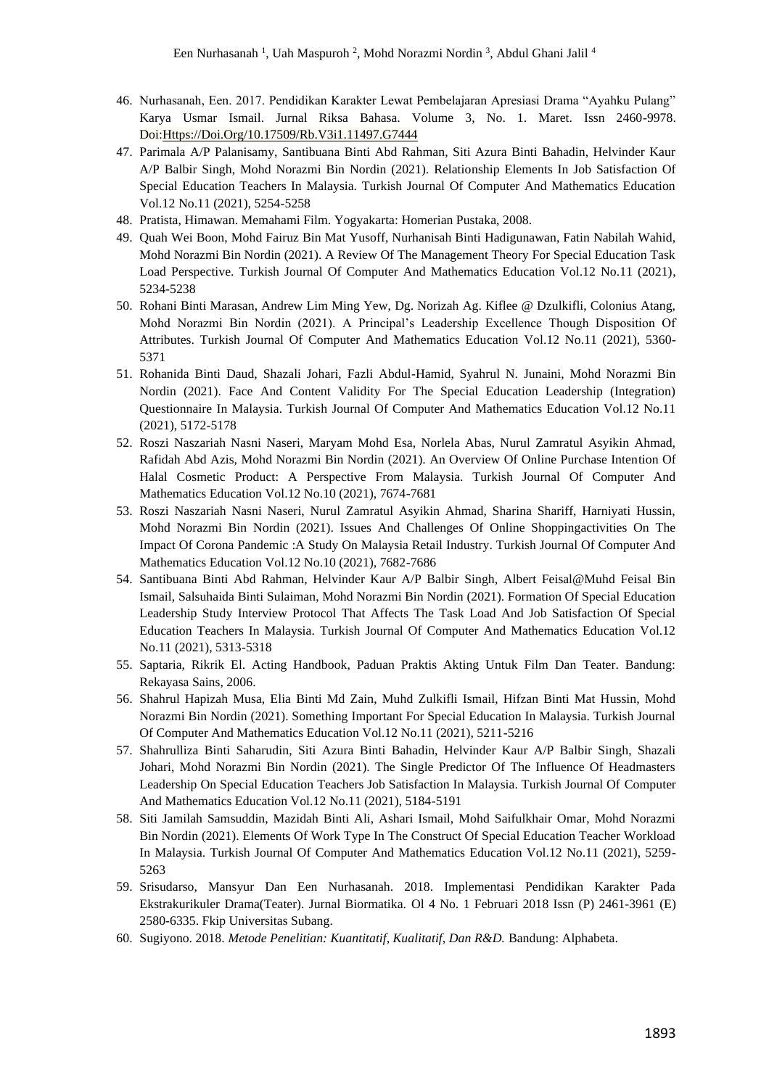- 46. Nurhasanah, Een. 2017. Pendidikan Karakter Lewat Pembelajaran Apresiasi Drama "Ayahku Pulang" Karya Usmar Ismail. Jurnal Riksa Bahasa. Volume 3, No. 1. Maret. Issn 2460-9978. Doi[:Https://Doi.Org/10.17509/Rb.V3i1.11497.G7444](https://doi.org/10.17509/rb.v3i1.11497.g7444)
- 47. Parimala A/P Palanisamy, Santibuana Binti Abd Rahman, Siti Azura Binti Bahadin, Helvinder Kaur A/P Balbir Singh, Mohd Norazmi Bin Nordin (2021). Relationship Elements In Job Satisfaction Of Special Education Teachers In Malaysia. Turkish Journal Of Computer And Mathematics Education Vol.12 No.11 (2021), 5254-5258
- 48. Pratista, Himawan. Memahami Film. Yogyakarta: Homerian Pustaka, 2008.
- 49. Quah Wei Boon, Mohd Fairuz Bin Mat Yusoff, Nurhanisah Binti Hadigunawan, Fatin Nabilah Wahid, Mohd Norazmi Bin Nordin (2021). A Review Of The Management Theory For Special Education Task Load Perspective. Turkish Journal Of Computer And Mathematics Education Vol.12 No.11 (2021), 5234-5238
- 50. Rohani Binti Marasan, Andrew Lim Ming Yew, Dg. Norizah Ag. Kiflee @ Dzulkifli, Colonius Atang, Mohd Norazmi Bin Nordin (2021). A Principal's Leadership Excellence Though Disposition Of Attributes. Turkish Journal Of Computer And Mathematics Education Vol.12 No.11 (2021), 5360- 5371
- 51. Rohanida Binti Daud, Shazali Johari, Fazli Abdul-Hamid, Syahrul N. Junaini, Mohd Norazmi Bin Nordin (2021). Face And Content Validity For The Special Education Leadership (Integration) Questionnaire In Malaysia. Turkish Journal Of Computer And Mathematics Education Vol.12 No.11 (2021), 5172-5178
- 52. Roszi Naszariah Nasni Naseri, Maryam Mohd Esa, Norlela Abas, Nurul Zamratul Asyikin Ahmad, Rafidah Abd Azis, Mohd Norazmi Bin Nordin (2021). An Overview Of Online Purchase Intention Of Halal Cosmetic Product: A Perspective From Malaysia. Turkish Journal Of Computer And Mathematics Education Vol.12 No.10 (2021), 7674-7681
- 53. Roszi Naszariah Nasni Naseri, Nurul Zamratul Asyikin Ahmad, Sharina Shariff, Harniyati Hussin, Mohd Norazmi Bin Nordin (2021). Issues And Challenges Of Online Shoppingactivities On The Impact Of Corona Pandemic :A Study On Malaysia Retail Industry. Turkish Journal Of Computer And Mathematics Education Vol.12 No.10 (2021), 7682-7686
- 54. Santibuana Binti Abd Rahman, Helvinder Kaur A/P Balbir Singh, Albert Feisal@Muhd Feisal Bin Ismail, Salsuhaida Binti Sulaiman, Mohd Norazmi Bin Nordin (2021). Formation Of Special Education Leadership Study Interview Protocol That Affects The Task Load And Job Satisfaction Of Special Education Teachers In Malaysia. Turkish Journal Of Computer And Mathematics Education Vol.12 No.11 (2021), 5313-5318
- 55. Saptaria, Rikrik El. Acting Handbook, Paduan Praktis Akting Untuk Film Dan Teater. Bandung: Rekayasa Sains, 2006.
- 56. Shahrul Hapizah Musa, Elia Binti Md Zain, Muhd Zulkifli Ismail, Hifzan Binti Mat Hussin, Mohd Norazmi Bin Nordin (2021). Something Important For Special Education In Malaysia. Turkish Journal Of Computer And Mathematics Education Vol.12 No.11 (2021), 5211-5216
- 57. Shahrulliza Binti Saharudin, Siti Azura Binti Bahadin, Helvinder Kaur A/P Balbir Singh, Shazali Johari, Mohd Norazmi Bin Nordin (2021). The Single Predictor Of The Influence Of Headmasters Leadership On Special Education Teachers Job Satisfaction In Malaysia. Turkish Journal Of Computer And Mathematics Education Vol.12 No.11 (2021), 5184-5191
- 58. Siti Jamilah Samsuddin, Mazidah Binti Ali, Ashari Ismail, Mohd Saifulkhair Omar, Mohd Norazmi Bin Nordin (2021). Elements Of Work Type In The Construct Of Special Education Teacher Workload In Malaysia. Turkish Journal Of Computer And Mathematics Education Vol.12 No.11 (2021), 5259- 5263
- 59. Srisudarso, Mansyur Dan Een Nurhasanah. 2018. Implementasi Pendidikan Karakter Pada Ekstrakurikuler Drama(Teater). Jurnal Biormatika. Ol 4 No. 1 Februari 2018 Issn (P) 2461-3961 (E) 2580-6335. Fkip Universitas Subang.
- 60. Sugiyono. 2018. *Metode Penelitian: Kuantitatif, Kualitatif, Dan R&D.* Bandung: Alphabeta.